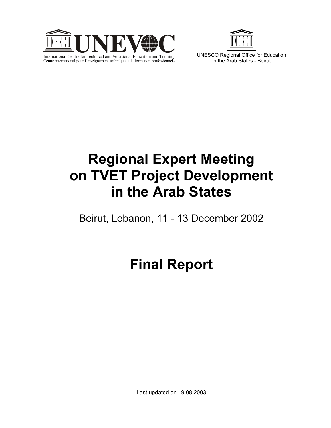



in the Arab States - Beirut

# **Regional Expert Meeting on TVET Project Development in the Arab States**

Beirut, Lebanon, 11 - 13 December 2002

# **Final Report**

Last updated on 19.08.2003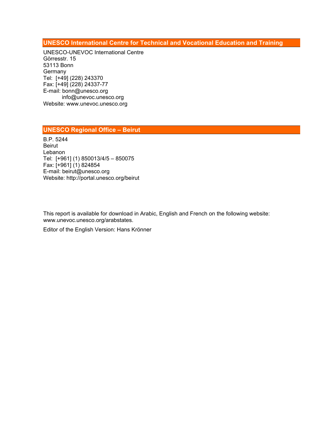**UNESCO International Centre for Technical and Vocational Education and Training** 

UNESCO-UNEVOC International Centre Görresstr. 15 53113 Bonn **Germany** Tel: [+49] (228) 243370 Fax: [+49] (228) 24337-77 E-mail: bonn@unesco.org info@unevoc.unesco.org Website: www.unevoc.unesco.org

## **UNESCO Regional Office – Beirut**

B.P. 5244 Beirut Lebanon Tel: [+961] (1) 850013/4/5 – 850075 Fax: [+961] (1) 824854 E-mail: beirut@unesco.org Website: http://portal.unesco.org/beirut

This report is available for download in Arabic, English and French on the following website: www.unevoc.unesco.org/arabstates.

Editor of the English Version: Hans Krönner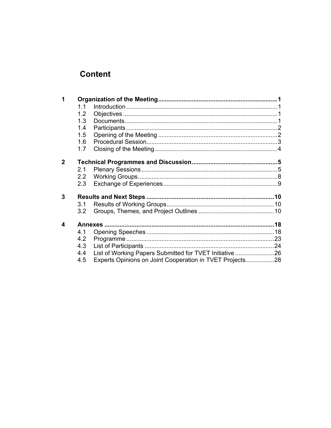# **Content**

| 1 |                  |                                                          |  |
|---|------------------|----------------------------------------------------------|--|
|   | 1.1              |                                                          |  |
|   | 1.2              |                                                          |  |
|   | 1.3              |                                                          |  |
|   | 1.4              |                                                          |  |
|   | 1.5              |                                                          |  |
|   | 1.6              |                                                          |  |
|   | 1.7              |                                                          |  |
| 2 |                  |                                                          |  |
|   |                  |                                                          |  |
|   | 2.1              |                                                          |  |
|   | 2.2              |                                                          |  |
|   | 2.3              |                                                          |  |
| 3 |                  |                                                          |  |
|   | 3.1              |                                                          |  |
|   | 3.2 <sub>2</sub> |                                                          |  |
|   |                  |                                                          |  |
| 4 |                  |                                                          |  |
|   | 4.1              |                                                          |  |
|   | 4.2              |                                                          |  |
|   | 4.3              |                                                          |  |
|   | 4.4              | List of Working Papers Submitted for TVET Initiative 26  |  |
|   | 4.5              | Experts Opinions on Joint Cooperation in TVET Projects28 |  |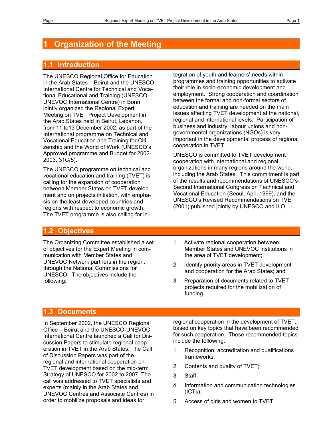# **Organization of the Meeting**

## **1.1 Introduction**

The UNESCO Regional Office for Education in the Arab States – Beirut and the UNESCO International Centre for Technical and Vocational Educational and Training (UNESCO-UNEVOC International Centre) in Bonn jointly organized the Regional Expert Meeting on TVET Project Development in the Arab States held in Beirut, Lebanon, from 11 to13 December 2002, as part of the International programme on Technical and Vocational Education and Training for Citizenship and the World of Work (UNESCO's Approved programme and Budget for 2002- 2003, 31C/5).

The UNESCO programme on technical and vocational education and training (TVET) is calling for the expansion of cooperation between Member States on TVET development and on projects initiation, with emphasis on the least developed countries and regions with respect to economic growth. The TVET programme is also calling for integration of youth and learners' needs within programmes and training opportunities to activate their role in socio-economic development and employment. Strong cooperation and coordination between the formal and non-formal sectors of education and training are needed on the main issues affecting TVET development at the national, regional and international levels. Participation of business and industry, labour unions and nongovernmental organizations (NGOs) is very important in the developmental process of regional cooperation in TVET.

UNESCO is committed to TVET development cooperation with international and regional organizations in many regions around the world, including the Arab States. This commitment is part of the results and recommendations of UNESCO's Second International Congress on Technical and Vocational Education (Seoul, April 1999), and the UNESCO's Revised Recommendations on TVET (2001) published jointly by UNESCO and ILO.

## **1.2 Objectives**

The Organizing Committee established a set of objectives for the Expert Meeting in communication with Member States and UNEVOC Network partners in the region, through the National Commissions for UNESCO. The objectives include the following:

- 1. Activate regional cooperation between Member States and UNEVOC institutions in the area of TVET development;
- 2. Identify priority areas in TVET development and cooperation for the Arab States; and
- 3. Preparation of documents related to TVET projects required for the mobilization of funding.

## **1.3 Documents**

In September 2002, the UNESCO Regional Office – Beirut and the UNESCO-UNEVOC International Centre launched a Call for Discussion Papers to stimulate regional cooperation in TVET in the Arab States. The Call of Discussion Papers was part of the regional and international cooperation on TVET development based on the mid-term Strategy of UNESCO for 2002 to 2007. The call was addressed to TVET specialists and experts (mainly in the Arab States and UNEVOC Centres and Associate Centres) in order to mobilize proposals and ideas for

regional cooperation in the development of TVET, based on key topics that have been recommended for such cooperation. These recommended topics include the following:

- 1. Recognition, accreditation and qualifications frameworks;
- 2. Contents and quality of TVET;
- 3. Staff;
- 4. Information and communication technologies (ICTs);
- 5. Access of girls and women to TVET;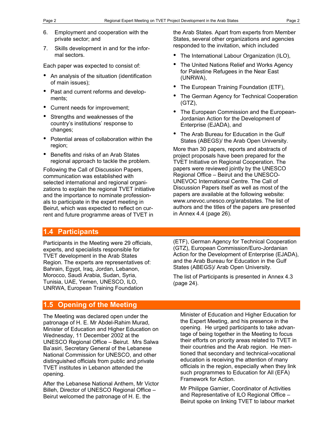- 6. Employment and cooperation with the private sector; and
- 7. Skills development in and for the informal sectors.

Each paper was expected to consist of:

- An analysis of the situation (identification of main issues);
- Past and current reforms and developments;
- Current needs for improvement;
- Strengths and weaknesses of the country's institutions' response to changes;
- Potential areas of collaboration within the region;
- Benefits and risks of an Arab States regional approach to tackle the problem.

Following the Call of Discussion Papers, communication was established with selected international and regional organizations to explain the regional TVET initiative and the importance to nominate professionals to participate in the expert meeting in Beirut, which was expected to reflect on current and future programme areas of TVET in

the Arab States. Apart from experts from Member States, several other organizations and agencies responded to the invitation, which included

- The International Labour Organization (ILO),
- The United Nations Relief and Works Agency for Palestine Refugees in the Near East (UNRWA),
- The European Training Foundation (ETF),
- The German Agency for Technical Cooperation (GTZ),
- The European Commission and the European-Jordanian Action for the Development of Enterprise (EJADA), and
- The Arab Bureau for Education in the Gulf States (ABEGS)/ the Arab Open University.

More than 30 papers, reports and abstracts of project proposals have been prepared for the TVET Initiative on Regional Cooperation. The papers were reviewed jointly by the UNESCO Regional Office – Beirut and the UNESCO-UNEVOC International Centre. The Call of Discussion Papers itself as well as most of the papers are available at the following website: www.unevoc.unesco.org/arabstates. The list of authors and the titles of the papers are presented in Annex 4.4 (page 26).

# **1.4 Participants**

Participants in the Meeting were 29 officials, experts, and specialists responsible for TVET development in the Arab States Region. The experts are representatives of: Bahrain, Egypt, Iraq, Jordan, Lebanon, Morocco, Saudi Arabia, Sudan, Syria, Tunisia, UAE, Yemen, UNESCO, ILO, UNRWA, European Training Foundation

(ETF), German Agency for Technical Cooperation (GTZ), European Commission/Euro-Jordanian Action for the Development of Enterprise (EJADA), and the Arab Bureau for Education in the Gulf States (ABEGS)/ Arab Open University.

The list of Participants is presented in Annex 4.3 (page 24).

# **1.5 Opening of the Meeting**

The Meeting was declared open under the patronage of H. E. Mr Abdel-Rahim Murad, Minister of Education and Higher Education on Wednesday, 11 December 2002 at the UNESCO Regional Office – Beirut. Mrs Salwa Ba'asiri, Secretary General of the Lebanese National Commission for UNESCO, and other distinguished officials from public and private TVET institutes in Lebanon attended the opening.

After the Lebanese National Anthem, Mr Victor Billeh, Director of UNESCO Regional Office – Beirut welcomed the patronage of H. E. the

Minister of Education and Higher Education for the Expert Meeting, and his presence in the opening. He urged participants to take advantage of being together in the Meeting to focus their efforts on priority areas related to TVET in their countries and the Arab region. He mentioned that secondary and technical-vocational education is receiving the attention of many officials in the region, especially when they link such programmes to Education for All (EFA) Framework for Action.

Mr Philippe Garnier, Coordinator of Activities and Representative of ILO Regional Office – Beirut spoke on linking TVET to labour market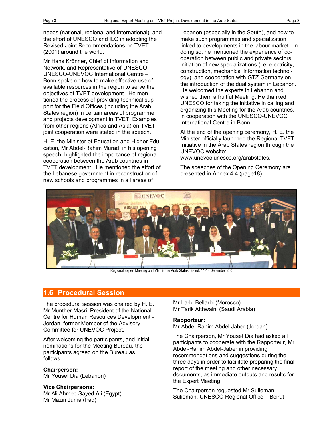needs (national, regional and international), and the effort of UNESCO and ILO in adopting the Revised Joint Recommendations on TVET (2001) around the world.

Mr Hans Krönner, Chief of Information and Network, and Representative of UNESCO UNESCO-UNEVOC International Centre – Bonn spoke on how to make effective use of available resources in the region to serve the objectives of TVET development. He mentioned the process of providing technical support for the Field Offices (including the Arab States region) in certain areas of programme and projects development in TVET. Examples from other regions (Africa and Asia) on TVET joint cooperation were stated in the speech.

H. E. the Minister of Education and Higher Education, Mr Abdel-Rahim Murad, in his opening speech, highlighted the importance of regional cooperation between the Arab countries in TVET development. He mentioned the effort of the Lebanese government in reconstruction of new schools and programmes in all areas of

Lebanon (especially in the South), and how to make such programmes and specialization linked to developments in the labour market. In doing so, he mentioned the experience of cooperation between public and private sectors, initiation of new specializations (i.e. electricity, construction, mechanics, information technology), and cooperation with GTZ Germany on the introduction of the dual system in Lebanon. He welcomed the experts in Lebanon and wished them a fruitful Meeting. He thanked UNESCO for taking the initiative in calling and organizing this Meeting for the Arab countries, in cooperation with the UNESCO-UNEVOC International Centre in Bonn.

At the end of the opening ceremony, H. E. the Minister officially launched the Regional TVET Initiative in the Arab States region through the UNEVOC website:

www.unevoc.unesco.org/arabstates.

The speeches of the Opening Ceremony are presented in Annex 4.4 (page18).



Regional Expert Meeting on TVET in the Arab States, Beirut, 11-13 December 200

# **1.6 Procedural Session**

The procedural session was chaired by H. E. Mr Munther Masri, President of the National Centre for Human Resources Development - Jordan, former Member of the Advisory Committee for UNEVOC Project.

After welcoming the participants, and initial nominations for the Meeting Bureau, the participants agreed on the Bureau as follows:

# **Chairperson:**

Mr Yousef Dia (Lebanon)

#### **Vice Chairpersons:**

Mr Ali Ahmed Sayed Ali (Egypt) Mr Mazin Juma (Iraq)

Mr Larbi Bellarbi (Morocco) Mr Tarik Althwaini (Saudi Arabia)

## **Rapporteur:**

Mr Abdel-Rahim Abdel-Jaber (Jordan)

The Chairperson, Mr Yousef Dia had asked all participants to cooperate with the Rapporteur, Mr Abdel-Rahim Abdel-Jaber in providing recommendations and suggestions during the three days in order to facilitate preparing the final report of the meeting and other necessary documents, as immediate outputs and results for the Expert Meeting.

The Chairperson requested Mr Sulieman Sulieman, UNESCO Regional Office – Beirut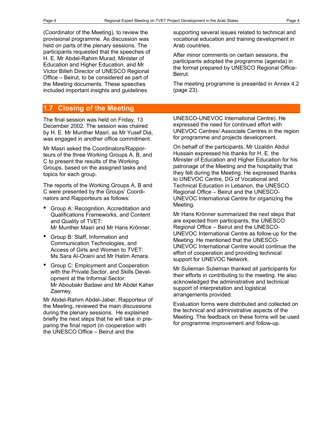(Coordinator of the Meeting), to review the provisional programme. As discussion was held on parts of the plenary sessions. The participants requested that the speeches of H. E. Mr Abdel-Rahim Murad, Minister of Education and Higher Education, and Mr Victor Billeh Director of UNESCO Regional Office – Beirut, to be considered as part of the Meeting documents. These speeches included important insights and guidelines

## **1.7 Closing of the Meeting**

The final session was held on Friday, 13 December 2002. The session was chaired by H. E. Mr Munther Masri, as Mr Yusef Dia, was engaged in another office commitment.

Mr Masri asked the Coordinators/Rapporteurs of the three Working Groups A, B, and C to present the results of the Working Groups, based on the assigned tasks and topics for each group.

The reports of the Working Groups A, B and C were presented by the Groups' Coordinators and Rapporteurs as follows:

- Group A: Recognition, Accreditation and Qualifications Frameworks, and Content and Quality of TVET: Mr Munther Masri and Mr Hans Krönner.
- Group B: Staff, Information and Communication Technologies, and Access of Girls and Women to TVET: Ms Sara Al-Oraini and Mr Hatim Amara.
- Group C: Employment and Cooperation with the Private Sector, and Skills Development at the Informal Sector: Mr Aboubakr Badawi and Mr Abdel Kaher Zaemey.

Mr Abdel-Rahim Abdel-Jaber, Rapporteur of the Meeting, reviewed the main discussions during the plenary sessions. He explained briefly the next steps that he will take in preparing the final report (in cooperation with the UNESCO Office – Beirut and the

supporting several issues related to technical and vocational education and training development in Arab countries.

After minor comments on certain sessions, the participants adopted the programme (agenda) in the format prepared by UNESCO Regional Office-Beirut.

The meeting programme is presented in Annex 4.2 (page 23).

UNESCO-UNEVOC International Centre). He expressed the need for continued effort with UNEVOC Centres/ Associate Centres in the region for programme and projects development.

On behalf of the participants, Mr Uzaldin Abdul Hussain expressed his thanks for H. E. the Minister of Education and Higher Education for his patronage of the Meeting and the hospitality that they felt during the Meeting. He expressed thanks to UNEVOC Centre, DG of Vocational and Technical Education in Lebanon, the UNESCO Regional Office – Beirut and the UNESCO-UNEVOC International Centre for organizing the Meeting.

Mr Hans Krönner summarized the next steps that are expected from participants, the UNESCO Regional Office – Beirut and the UNESCO-UNEVOC International Centre as follow-up for the Meeting. He mentioned that the UNESCO-UNEVOC International Centre would continue the effort of cooperation and providing technical support for UNEVOC Network.

Mr Sulieman Sulieman thanked all participants for their efforts in contributing to the meeting. He also acknowledged the administrative and technical support of interpretation and logistical arrangements provided.

Evaluation forms were distributed and collected on the technical and administrative aspects of the Meeting. The feedback on these forms will be used for programme improvement and follow-up.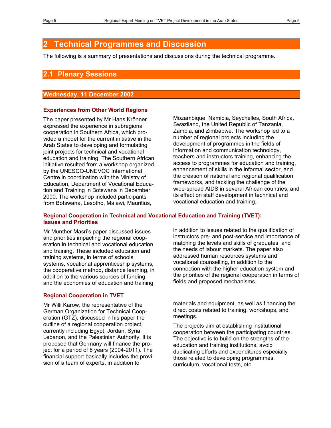# **2 Technical Programmes and Discussion**

The following is a summary of presentations and discussions during the technical programme.

## **2.1 Plenary Sessions**

#### **Wednesday, 11 December 2002**

#### **Experiences from Other World Regions**

The paper presented by Mr Hans Krönner expressed the experience in subregional cooperation in Southern Africa, which provided a model for the current initiative in the Arab States to developing and formulating joint projects for technical and vocational education and training. The Southern African initiative resulted from a workshop organized by the UNESCO-UNEVOC International Centre in coordination with the Ministry of Education, Department of Vocational Education and Training in Botswana in December 2000. The workshop included participants from Botswana, Lesotho, Malawi, Mauritius,

Mozambique, Namibia, Seychelles, South Africa, Swaziland, the United Republic of Tanzania, Zambia, and Zimbabwe. The workshop led to a number of regional projects including the development of programmes in the fields of information and communication technology, teachers and instructors training, enhancing the access to programmes for education and training, enhancement of skills in the informal sector, and the creation of national and regional qualification frameworks, and tackling the challenge of the wide-spread AIDS in several African countries, and its effect on staff development in technical and vocational education and training.

#### **Regional Cooperation in Technical and Vocational Education and Training (TVET): Issues and Priorities**

Mr Munther Masri's paper discussed issues and priorities impacting the regional cooperation in technical and vocational education and training. These included education and training systems, in terms of schools systems, vocational apprenticeship systems, the cooperative method, distance learning, in addition to the various sources of funding and the economies of education and training,

#### **Regional Cooperation in TVET**

Mr Willi Karow, the representative of the German Organization for Technical Cooperation (GTZ), discussed in his paper the outline of a regional cooperation project, currently including Egypt, Jordan, Syria, Lebanon, and the Palestinian Authority. It is proposed that Germany will finance the project for a period of 8 years (2004-2011). The financial support basically includes the provision of a team of experts, in addition to

in addition to issues related to the qualification of instructors pre- and post-service and importance of matching the levels and skills of graduates, and the needs of labour markets. The paper also addressed human resources systems and vocational counselling, in addition to the connection with the higher education system and the priorities of the regional cooperation in terms of fields and proposed mechanisms.

materials and equipment, as well as financing the direct costs related to training, workshops, and meetings.

The projects aim at establishing institutional cooperation between the participating countries. The objective is to build on the strengths of the education and training institutions, avoid duplicating efforts and expenditures especially those related to developing programmes, curriculum, vocational tests, etc.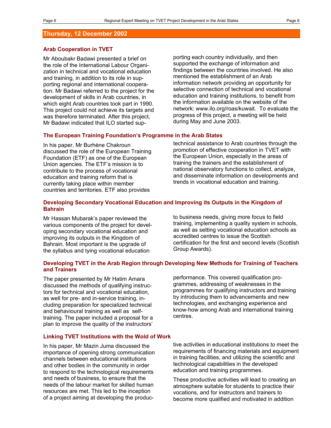#### **Thursday, 12 December 2002**

#### **Arab Cooperation in TVET**

Mr Aboubakr Badawi presented a brief on the role of the International Labour Organization in technical and vocational education and training, in addition to its role in supporting regional and international cooperation. Mr Badawi referred to the project for the development of skills in Arab countries, in which eight Arab countries took part in 1990. This project could not achieve its targets and was therefore terminated. After this project, Mr Badawi indicated that ILO started supporting each country individually, and then supported the exchange of information and findings between the countries involved. He also mentioned the establishment of an Arab information network providing an opportunity for selective connection of technical and vocational education and training institutions, to benefit from the information available on the website of the network: www.ilo.org/roas/kuwait. To evaluate the progress of this project, a meeting will be held during May and June 2003.

#### **The European Training Foundation's Programme in the Arab States**

In his paper, Mr Burhène Chakroun discussed the role of the European Training Foundation (ETF) as one of the European Union agencies. The ETF's mission is to contribute to the process of vocational education and training reform that is currently taking place within member countries and territories. ETF also provides

technical assistance to Arab countries through the promotion of effective cooperation in TVET with the European Union, especially in the areas of training the trainers and the establishment of national observatory functions to collect, analyze, and disseminate information on developments and trends in vocational education and training.

#### **Developing Secondary Vocational Education and Improving its Outputs in the Kingdom of Bahrain**

Mr Hassan Mubarak's paper reviewed the various components of the project for developing secondary vocational education and improving its outputs in the Kingdom of Bahrain. Most important is the upgrade of the syllabus and tying vocational education

to business needs, giving more focus to field training, implementing a quality system in schools, as well as setting vocational education schools as accredited centres to issue the Scottish certification for the first and second levels (Scottish Group Awards).

#### **Developing TVET in the Arab Region through Developing New Methods for Training of Teachers and Trainers**

The paper presented by Mr Hatim Amara discussed the methods of qualifying instructors for technical and vocational education, as well for pre- and in-service training, including preparation for specialized technical and behavioural training as well as selftraining. The paper included a proposal for a plan to improve the quality of the instructors'

performance. This covered qualification programmes, addressing of weaknesses in the programmes for qualifying instructors and training by introducing them to advancements and new technologies, and exchanging experience and know-how among Arab and international training centres.

#### **Linking TVET Institutions with the Wold of Work**

In his paper, Mr Mazin Juma discussed the importance of opening strong communication channels between educational institutions and other bodies in the community in order to respond to the technological requirements and needs of business, to ensure that the needs of the labour market for skilled human resources are met. This led to the inception of a project aiming at developing the productive activities in educational institutions to meet the requirements of financing materials and equipment in training facilities, and utilizing the scientific and technological capabilities in the developed education and training programmes.

These productive activities will lead to creating an atmosphere suitable for students to practice their vocations, and for instructors and trainers to become more qualified and motivated in addition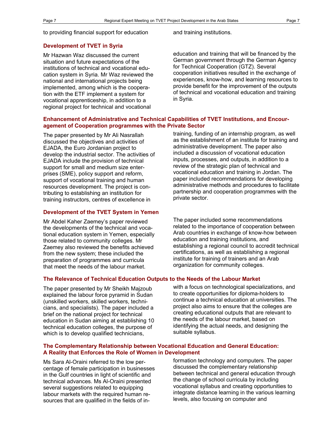to providing financial support for education and training institutions.

#### **Development of TVET in Syria**

Mr Hazwan Waz discussed the current situation and future expectations of the institutions of technical and vocational education system in Syria. Mr Waz reviewed the national and international projects being implemented, among which is the cooperation with the ETF implement a system for vocational apprenticeship, in addition to a regional project for technical and vocational

education and training that will be financed by the German government through the German Agency for Technical Cooperation (GTZ). Several cooperation initiatives resulted in the exchange of experiences, know-how, and learning resources to provide benefit for the improvement of the outputs of technical and vocational education and training in Syria.

#### **Enhancement of Administrative and Technical Capabilities of TVET Institutions, and Encouragement of Cooperation programmes with the Private Sector**

The paper presented by Mr Ali Nasrallah discussed the objectives and activities of EJADA, the Euro Jordanian project to develop the industrial sector. The activities of EJADA include the provision of technical support for small and medium size enterprises (SME), policy support and reform, support of vocational training and human resources development. The project is contributing to establishing an institution for training instructors, centres of excellence in

#### **Development of the TVET System in Yemen**

Mr Abdel Kaher Zaemey's paper reviewed the developments of the technical and vocational education system in Yemen, especially those related to community colleges. Mr Zaemey also reviewed the benefits achieved from the new system; these included the preparation of programmes and curricula that meet the needs of the labour market.

training, funding of an internship program, as well as the establishment of an institute for training and administrative development. The paper also included a discussion of vocational education inputs, processes, and outputs, in addition to a review of the strategic plan of technical and vocational education and training in Jordan. The paper included recommendations for developing administrative methods and procedures to facilitate partnership and cooperation programmes with the private sector.

The paper included some recommendations related to the importance of cooperation between Arab countries in exchange of know-how between education and training institutions, and establishing a regional council to accredit technical certifications, as well as establishing a regional institute for training of trainers and an Arab organization for community colleges.

#### **The Relevance of Technical Education Outputs to the Needs of the Labour Market**

The paper presented by Mr Sheikh Majzoub explained the labour force pyramid in Sudan (unskilled workers, skilled workers, technicians, and specialists). The paper included a brief on the national project for technical education in Sudan aiming at establishing 10 technical education colleges, the purpose of which is to develop qualified technicians,

with a focus on technological specializations, and to create opportunities for diploma-holders to continue a technical education at universities. The project also aims to ensure that the colleges are creating educational outputs that are relevant to the needs of the labour market, based on identifying the actual needs, and designing the suitable syllabus.

#### **The Complementary Relationship between Vocational Education and General Education: A Reality that Enforces the Role of Women in Development**

Ms Sara Al-Oraini referred to the low percentage of female participation in businesses in the Gulf countries in light of scientific and technical advances. Ms Al-Oraini presented several suggestions related to equipping labour markets with the required human resources that are qualified in the fields of information technology and computers. The paper discussed the complementary relationship between technical and general education through the change of school curricula by including vocational syllabus and creating opportunities to integrate distance learning in the various learning levels, also focusing on computer and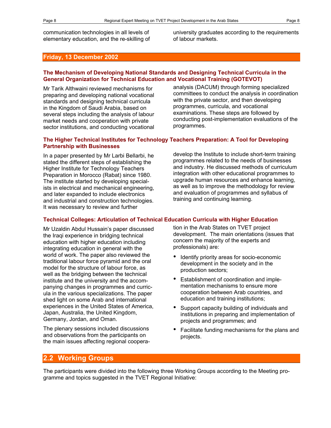university graduates according to the requirements of labour markets.

#### **Friday, 13 December 2002**

#### **The Mechanism of Developing National Standards and Designing Technical Curricula in the General Organization for Technical Education and Vocational Training (GOTEVOT)**

Mr Tarik Althwaini reviewed mechanisms for preparing and developing national vocational standards and designing technical curricula in the Kingdom of Saudi Arabia, based on several steps including the analysis of labour market needs and cooperation with private sector institutions, and conducting vocational analysis (DACUM) through forming specialized committees to conduct the analysis in coordination with the private sector, and then developing programmes, curricula, and vocational examinations. These steps are followed by conducting post-implementation evaluations of the programmes.

#### **The Higher Technical Institutes for Technology Teachers Preparation: A Tool for Developing Partnership with Businesses**

In a paper presented by Mr Larbi Bellarbi, he stated the different steps of establishing the Higher Institute for Technology Teachers Preparation in Morocco (Rabat) since 1980. The institute started by developing specialists in electrical and mechanical engineering, and later expanded to include electronics and industrial and construction technologies. It was necessary to review and further

develop the Institute to include short-term training programmes related to the needs of businesses and industry. He discussed methods of curriculum integration with other educational programmes to upgrade human resources and enhance learning, as well as to improve the methodology for review and evaluation of programmes and syllabus of training and continuing learning.

#### **Technical Colleges: Articulation of Technical Education Curricula with Higher Education**

Mr Uzaldin Abdul Hussain's paper discussed the Iraqi experience in bridging technical education with higher education including integrating education in general with the world of work. The paper also reviewed the traditional labour force pyramid and the oral model for the structure of labour force, as well as the bridging between the technical institute and the university and the accompanying changes in programmes and curricula in the various specializations. The paper shed light on some Arab and international experiences in the United States of America, Japan, Australia, the United Kingdom, Germany, Jordan, and Oman.

The plenary sessions included discussions and observations from the participants on the main issues affecting regional cooperation in the Arab States on TVET project development. The main orientations (issues that concern the majority of the experts and professionals) are:

- Identify priority areas for socio-economic development in the society and in the production sectors;
- Establishment of coordination and implementation mechanisms to ensure more cooperation between Arab countries, and education and training institutions;
- Support capacity building of individuals and institutions in preparing and implementation of projects and programmes; and
- Facilitate funding mechanisms for the plans and projects.

#### **2.2 Working Groups**

The participants were divided into the following three Working Groups according to the Meeting programme and topics suggested in the TVET Regional Initiative: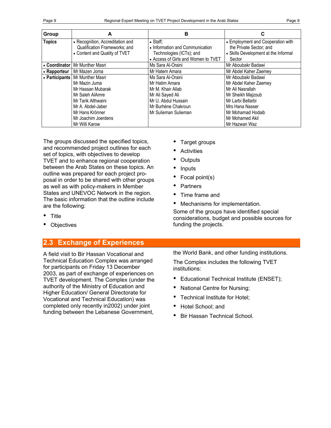|--|--|

| <b>Group</b>  | A                                 | в                                   | С                                    |
|---------------|-----------------------------------|-------------------------------------|--------------------------------------|
| <b>Topics</b> | • Recognition, Accreditation and  | $\bullet$ Staff:                    | • Employment and Cooperation with    |
|               | Qualification Frameworks; and     | • Information and Communication     | the Private Sector; and              |
|               | • Content and Quality of TVET     | Technologies (ICTs); and            | • Skills Development at the Informal |
|               |                                   | • Access of Girls and Women to TVET | Sector                               |
| • Coordinator | Mr Munther Masri                  | Ms Sara Al-Oraini                   | Mr Aboubakr Badawi                   |
| • Rapporteur  | Mr Mazen Joma                     | Mr Hatem Amara                      | Mr Abdel Kaher Zaemey                |
|               | • Participants   Mr Munther Masri | Ms Sara Al-Oraini                   | Mr Aboubakr Badawi                   |
|               | Mr Mazin Juma                     | Mr Hatim Amara                      | Mr Abdel Kaher Zaemey                |
|               | Mr Hassan Mubarak                 | Mr M. Khair Allab                   | Mr Ali Nasrallah                     |
|               | Mr Saleh AlAmre                   | Mr Ali Sayed Ali                    | Mr Sheikh Majzoub                    |
|               | Mr Tarik Althwaini                | Mr U. Abdul Hussain                 | Mr Larbi Bellarbi                    |
|               | Mr A. Abdel-Jaber                 | Mr Burhène Chakroun                 | Mrs Hana Nasser                      |
|               | Mr Hans Krönner                   | Mr Sulieman Sulieman                | Mr Mohamad Hodaib                    |
|               | Mr Joachim Joerdens               |                                     | Mr Mohamed Akil                      |
|               | Mr Willi Karow                    |                                     | Mr Hazwan Waz                        |

The groups discussed the specified topics, and recommended project outlines for each set of topics, with objectives to develop TVET and to enhance regional cooperation between the Arab States on these topics. An outline was prepared for each project proposal in order to be shared with other groups as well as with policy-makers in Member States and UNEVOC Network in the region. The basic information that the outline include are the following:

- Title
- Objectives

## **2.3 Exchange of Experiences**

A field visit to Bir Hassan Vocational and Technical Education Complex was arranged for participants on Friday 13 December 2003, as part of exchange of experiences on TVET development. The Complex (under the authority of the Ministry of Education and Higher Education/ General Directorate for Vocational and Technical Education) was completed only recently in2002) under joint funding between the Lebanese Government,

- Target groups
- **Activities**
- **Outputs**
- **Inputs**
- Focal point(s)
- **Partners**
- Time frame and
- Mechanisms for implementation.

Some of the groups have identified special considerations, budget and possible sources for funding the projects.

the World Bank, and other funding institutions.

The Complex includes the following TVET institutions:

- Educational Technical Institute (ENSET);
- National Centre for Nursing;
- Technical Institute for Hotel;
- Hotel School; and
- Bir Hassan Technical School.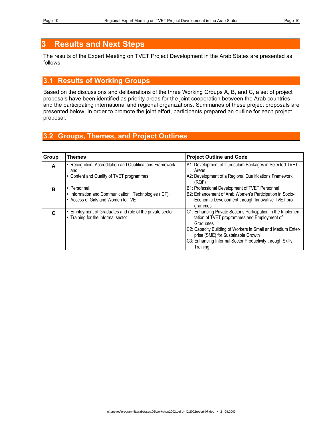# **3 Results and Next Steps**

The results of the Expert Meeting on TVET Project Development in the Arab States are presented as follows:

# **3.1 Results of Working Groups**

Based on the discussions and deliberations of the three Working Groups A, B, and C, a set of project proposals have been identified as priority areas for the joint cooperation between the Arab countries and the participating international and regional organizations. Summaries of these project proposals are presented below. In order to promote the joint effort, participants prepared an outline for each project proposal.

## **3.2 Groups, Themes, and Project Outlines**

| Group | <b>Themes</b>                                                                                               | <b>Project Outline and Code</b>                                                                                                                                                                                                                                                                         |
|-------|-------------------------------------------------------------------------------------------------------------|---------------------------------------------------------------------------------------------------------------------------------------------------------------------------------------------------------------------------------------------------------------------------------------------------------|
| A     | • Recognition, Accreditation and Qualifications Framework;<br>and<br>Content and Quality of TVET programmes | A1: Development of Curriculum Packages in Selected TVET<br>Areas<br>A2: Development of a Regional Qualifications Framework<br>(RQF)                                                                                                                                                                     |
| B     | • Personnel:<br>• Information and Communication Technologies (ICT);<br>• Access of Girls and Women to TVET  | B1: Professional Development of TVET Personnel<br>B2: Enhancement of Arab Women's Participation in Socio-<br>Economic Development through Innovative TVET pro-<br>grammes                                                                                                                               |
| C     | Employment of Graduates and role of the private sector<br>Training for the informal sector                  | C1: Enhancing Private Sector's Participation in the Implemen-<br>tation of TVET programmes and Employment of<br>Graduates<br>C2: Capacity Building of Workers in Small and Medium Enter-<br>prise (SME) for Sustainable Growth<br>C3: Enhancing Informal Sector Productivity through Skills<br>Training |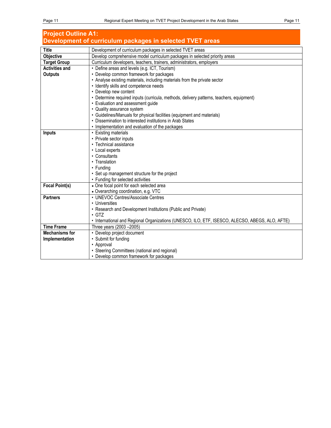| <b>Project Outline A1:</b>                                |                                                                                                 |  |  |  |
|-----------------------------------------------------------|-------------------------------------------------------------------------------------------------|--|--|--|
| Development of curriculum packages in selected TVET areas |                                                                                                 |  |  |  |
| <b>Title</b>                                              | Development of curriculum packages in selected TVET areas                                       |  |  |  |
| <b>Objective</b>                                          | Develop comprehensive model curriculum packages in selected priority areas                      |  |  |  |
| <b>Target Group</b>                                       | Curriculum developers, teachers, trainers, administrators, employers                            |  |  |  |
| <b>Activities and</b>                                     | • Define areas and levels (e.g. ICT, Tourism)                                                   |  |  |  |
| <b>Outputs</b>                                            | • Develop common framework for packages                                                         |  |  |  |
|                                                           | • Analyse existing materials, including materials from the private sector                       |  |  |  |
|                                                           | · Identify skills and competence needs                                                          |  |  |  |
|                                                           | • Develop new content                                                                           |  |  |  |
|                                                           | • Determine required inputs (curricula, methods, delivery patterns, teachers, equipment)        |  |  |  |
|                                                           | • Evaluation and assessment guide                                                               |  |  |  |
|                                                           | • Quality assurance system                                                                      |  |  |  |
|                                                           | • Guidelines/Manuals for physical facilities (equipment and materials)                          |  |  |  |
|                                                           | • Dissemination to interested institutions in Arab States                                       |  |  |  |
|                                                           | • Implementation and evaluation of the packages                                                 |  |  |  |
| <b>Inputs</b>                                             | • Existing materials                                                                            |  |  |  |
|                                                           | • Private sector inputs                                                                         |  |  |  |
|                                                           | • Technical assistance                                                                          |  |  |  |
|                                                           | • Local experts                                                                                 |  |  |  |
|                                                           | • Consultants                                                                                   |  |  |  |
|                                                           | • Translation                                                                                   |  |  |  |
|                                                           | • Funding                                                                                       |  |  |  |
|                                                           | • Set up management structure for the project                                                   |  |  |  |
|                                                           | • Funding for selected activities                                                               |  |  |  |
| <b>Focal Point(s)</b>                                     | • One focal point for each selected area                                                        |  |  |  |
|                                                           | • Overarching coordination, e.g. VTC                                                            |  |  |  |
| <b>Partners</b>                                           | • UNEVOC Centres/Associate Centres<br>• Universities                                            |  |  |  |
|                                                           |                                                                                                 |  |  |  |
|                                                           | • Research and Development Institutions (Public and Private)<br>$\cdot$ GTZ                     |  |  |  |
|                                                           | · International and Regional Organizations (UNESCO, ILO, ETF, ISESCO, ALECSO, ABEGS, ALO, AFTE) |  |  |  |
| <b>Time Frame</b>                                         | Three years (2003 - 2005)                                                                       |  |  |  |
| <b>Mechanisms for</b>                                     | • Develop project document                                                                      |  |  |  |
| Implementation                                            | • Submit for funding                                                                            |  |  |  |
|                                                           | • Approval                                                                                      |  |  |  |
|                                                           | • Steering Committees (national and regional)                                                   |  |  |  |
|                                                           | • Develop common framework for packages                                                         |  |  |  |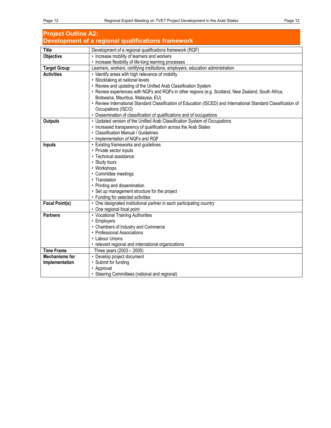| <b>Project Outline A2:</b> |                                                                                                                  |  |  |  |
|----------------------------|------------------------------------------------------------------------------------------------------------------|--|--|--|
|                            | Development of a regional qualifications framework                                                               |  |  |  |
| <b>Title</b>               | Development of a regional qualifications framework (RQF)                                                         |  |  |  |
| Objective                  | • Increase mobility of learners and workers                                                                      |  |  |  |
|                            | • Increase flexibility of life-long learning processes                                                           |  |  |  |
| <b>Target Group</b>        | Learners, workers, certifying institutions, employers, education administration                                  |  |  |  |
| <b>Activities</b>          | • Identify areas with high relevance of mobility                                                                 |  |  |  |
|                            | • Stocktaking at national levels                                                                                 |  |  |  |
|                            | • Review and updating of the Unified Arab Classification System                                                  |  |  |  |
|                            | • Review experiences with NQFs and RQFs in other regions (e.g. Scotland, New Zealand, South Africa,              |  |  |  |
|                            | Botswana, Mauritius, Malaysia, EU)                                                                               |  |  |  |
|                            | • Review International Standard Classification of Education (ISCED) and International Standard Classification of |  |  |  |
|                            | Occupations (ISCO)                                                                                               |  |  |  |
|                            | • Dissemination of classification of qualifications and of occupations                                           |  |  |  |
| <b>Outputs</b>             | • Updated version of the Unified Arab Classification System of Occupations                                       |  |  |  |
|                            | • Increased transparency of qualification across the Arab States                                                 |  |  |  |
|                            | • Classification Manual / Guidelines                                                                             |  |  |  |
|                            | • Implementation of NQFs and RQF                                                                                 |  |  |  |
| <b>Inputs</b>              | • Existing frameworks and guidelines                                                                             |  |  |  |
|                            | • Private sector inputs<br>• Technical assistance                                                                |  |  |  |
|                            | • Study tours                                                                                                    |  |  |  |
|                            | • Workshops                                                                                                      |  |  |  |
|                            | • Committee meetings                                                                                             |  |  |  |
|                            | • Translation                                                                                                    |  |  |  |
|                            | • Printing and dissemination                                                                                     |  |  |  |
|                            | • Set up management structure for the project                                                                    |  |  |  |
|                            | • Funding for selected activities                                                                                |  |  |  |
| <b>Focal Point(s)</b>      | • One designated institutional partner in each participating country                                             |  |  |  |
|                            | • One regional focal point                                                                                       |  |  |  |
| <b>Partners</b>            | • Vocational Training Authorities                                                                                |  |  |  |
|                            | • Employers                                                                                                      |  |  |  |
|                            | • Chambers of Industry and Commerce                                                                              |  |  |  |
|                            | • Professional Associations                                                                                      |  |  |  |
|                            | • Labour Unions                                                                                                  |  |  |  |
|                            | • relevant regional and international organizations                                                              |  |  |  |
| <b>Time Frame</b>          | Three years (2003 - 2005)                                                                                        |  |  |  |
| <b>Mechanisms for</b>      | • Develop project document                                                                                       |  |  |  |
| Implementation             | • Submit for funding                                                                                             |  |  |  |
|                            | • Approval                                                                                                       |  |  |  |
|                            | • Steering Committees (national and regional)                                                                    |  |  |  |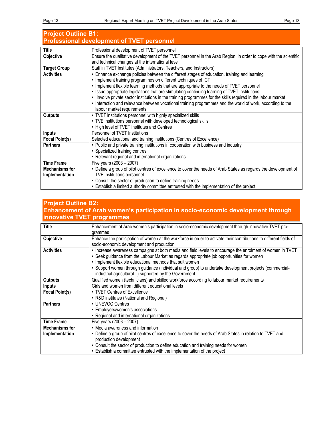# **Project Outline B1: Professional development of TVET personnel**

| Title                 | Professional development of TVET personnel                                                                        |  |  |  |
|-----------------------|-------------------------------------------------------------------------------------------------------------------|--|--|--|
| <b>Objective</b>      | Ensure the qualitative development of the TVET personnel in the Arab Region, in order to cope with the scientific |  |  |  |
|                       | and technical changes at the international level                                                                  |  |  |  |
| <b>Target Group</b>   | Staff in TVET Institutes (Administrators, Teachers, and Instructors)                                              |  |  |  |
| <b>Activities</b>     | • Enhance exchange policies between the different stages of education, training and learning                      |  |  |  |
|                       | • Implement training programmes on different techniques of ICT                                                    |  |  |  |
|                       | • Implement flexible learning methods that are appropriate to the needs of TVET personnel                         |  |  |  |
|                       | • Issue appropriate legislations that are stimulating continuing learning of TVET institutions                    |  |  |  |
|                       | Involve private sector institutions in the training programmes for the skills required in the labour market       |  |  |  |
|                       | • Interaction and relevance between vocational training programmes and the world of work, according to the        |  |  |  |
|                       | labour market requirements                                                                                        |  |  |  |
| <b>Outputs</b>        | • TVET institutions personnel with highly specialized skills                                                      |  |  |  |
|                       | • TVE institutions personnel with developed technological skills                                                  |  |  |  |
|                       | • High level of TVET Institutes and Centres                                                                       |  |  |  |
| <b>Inputs</b>         | Personnel of TVET Institutions                                                                                    |  |  |  |
| <b>Focal Point(s)</b> | Selected educational and training institutions (Centres of Excellence)                                            |  |  |  |
| <b>Partners</b>       | • Public and private training institutions in cooperation with business and industry                              |  |  |  |
|                       | • Specialized training centres                                                                                    |  |  |  |
|                       | • Relevant regional and international organizations                                                               |  |  |  |
| <b>Time Frame</b>     | Five years (2003 - 2007)                                                                                          |  |  |  |
| <b>Mechanisms for</b> | • Define a group of pilot centres of excellence to cover the needs of Arab States as regards the development of   |  |  |  |
| Implementation        | TVE institutions personnel                                                                                        |  |  |  |
|                       | • Consult the sector of production to define training needs                                                       |  |  |  |
|                       | • Establish a limited authority committee entrusted with the implementation of the project                        |  |  |  |

## **Project Outline B2: Enhancement of Arab women's participation in socio-economic development through innovative TVET programmes**

| Title                                                                                                                       | Enhancement of Arab women's participation in socio-economic development through innovative TVET pro-                |  |  |
|-----------------------------------------------------------------------------------------------------------------------------|---------------------------------------------------------------------------------------------------------------------|--|--|
|                                                                                                                             | grammes                                                                                                             |  |  |
| Objective                                                                                                                   | Enhance the participation of women at the workforce in order to activate their contributions to different fields of |  |  |
|                                                                                                                             | socio-economic development and production                                                                           |  |  |
| <b>Activities</b>                                                                                                           | · Increase awareness campaigns at both media and field levels to encourage the enrolment of women in TVET           |  |  |
|                                                                                                                             | • Seek guidance from the Labour Market as regards appropriate job opportunities for women                           |  |  |
|                                                                                                                             | • Implement flexible educational methods that suit women                                                            |  |  |
|                                                                                                                             | · Support women through guidance (individual and group) to undertake development projects (commercial-              |  |  |
|                                                                                                                             | industrial-agricultural) supported by the Government                                                                |  |  |
| <b>Outputs</b>                                                                                                              | Qualified women (technicians) and skilled workforce according to labour market requirements                         |  |  |
| Inputs                                                                                                                      | Girls and women from different educational levels                                                                   |  |  |
| <b>Focal Point(s)</b>                                                                                                       | • TVET Centres of Excellence                                                                                        |  |  |
|                                                                                                                             | • R&D institutes (National and Regional)                                                                            |  |  |
| <b>Partners</b>                                                                                                             | • UNEVOC Centres                                                                                                    |  |  |
| • Employers/women's associations                                                                                            |                                                                                                                     |  |  |
|                                                                                                                             | • Regional and international organizations                                                                          |  |  |
| <b>Time Frame</b>                                                                                                           | Five years (2003 - 2007)                                                                                            |  |  |
| <b>Mechanisms for</b>                                                                                                       | • Media awareness and information                                                                                   |  |  |
| • Define a group of pilot centres of excellence to cover the needs of Arab States in relation to TVET and<br>Implementation |                                                                                                                     |  |  |
| production development                                                                                                      |                                                                                                                     |  |  |
|                                                                                                                             | • Consult the sector of production to define education and training needs for women                                 |  |  |
|                                                                                                                             | • Establish a committee entrusted with the implementation of the project                                            |  |  |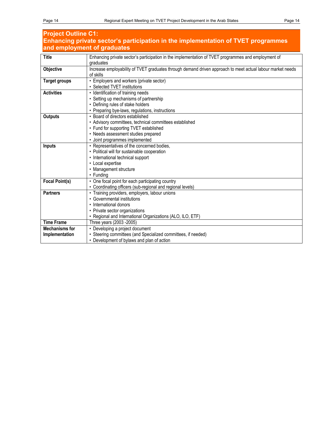| <b>Project Outline C1:</b>                                                        |                                                                                                            |  |  |  |  |
|-----------------------------------------------------------------------------------|------------------------------------------------------------------------------------------------------------|--|--|--|--|
| Enhancing private sector's participation in the implementation of TVET programmes |                                                                                                            |  |  |  |  |
|                                                                                   | and employment of graduates                                                                                |  |  |  |  |
| <b>Title</b>                                                                      | Enhancing private sector's participation in the implementation of TVET programmes and employment of        |  |  |  |  |
|                                                                                   | graduates                                                                                                  |  |  |  |  |
| Objective                                                                         | Increase employability of TVET graduates through demand driven approach to meet actual labour market needs |  |  |  |  |
|                                                                                   | of skills                                                                                                  |  |  |  |  |
| <b>Target groups</b>                                                              | • Employers and workers (private sector)                                                                   |  |  |  |  |
|                                                                                   | • Selected TVET institutions                                                                               |  |  |  |  |
| <b>Activities</b>                                                                 | • Identification of training needs                                                                         |  |  |  |  |
|                                                                                   | • Setting up mechanisms of partnership                                                                     |  |  |  |  |
|                                                                                   | • Defining rules of stake holders                                                                          |  |  |  |  |
|                                                                                   | • Preparing bye-laws, regulations, instructions                                                            |  |  |  |  |
| Outputs                                                                           | • Board of directors established                                                                           |  |  |  |  |
|                                                                                   | • Advisory committees, technical committees established                                                    |  |  |  |  |
|                                                                                   | • Fund for supporting TVET established                                                                     |  |  |  |  |
|                                                                                   | • Needs assessment studies prepared                                                                        |  |  |  |  |
|                                                                                   | • Joint programmes implemented                                                                             |  |  |  |  |
| <b>Inputs</b>                                                                     | • Representatives of the concerned bodies,                                                                 |  |  |  |  |
|                                                                                   | • Political will for sustainable cooperation                                                               |  |  |  |  |
|                                                                                   | • International technical support                                                                          |  |  |  |  |
|                                                                                   | • Local expertise<br>• Management structure                                                                |  |  |  |  |
|                                                                                   | • Funding                                                                                                  |  |  |  |  |
| <b>Focal Point(s)</b>                                                             | • One focal point for each participating country                                                           |  |  |  |  |
|                                                                                   | • Coordinating officers (sub-regional and regional levels)                                                 |  |  |  |  |
| <b>Partners</b>                                                                   | • Training providers, employers, labour unions                                                             |  |  |  |  |
|                                                                                   | • Governmental institutions                                                                                |  |  |  |  |
|                                                                                   | • International donors                                                                                     |  |  |  |  |
|                                                                                   | • Private sector organizations                                                                             |  |  |  |  |
|                                                                                   | • Regional and International Organizations (ALO, ILO, ETF)                                                 |  |  |  |  |
| <b>Time Frame</b>                                                                 | Three years (2003 - 2005)                                                                                  |  |  |  |  |
| <b>Mechanisms for</b>                                                             | • Developing a project document                                                                            |  |  |  |  |
| Implementation                                                                    | • Steering committees (and Specialized committees, if needed)                                              |  |  |  |  |
|                                                                                   | • Development of bylaws and plan of action                                                                 |  |  |  |  |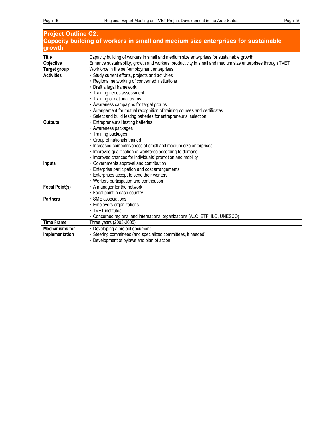## **Project Outline C2: Capacity building of workers in small and medium size enterprises for sustainable growth**

| <b>Title</b>          | Capacity building of workers in small and medium size enterprises for sustainable growth                   |  |  |  |
|-----------------------|------------------------------------------------------------------------------------------------------------|--|--|--|
| Objective             | Enhance sustainability, growth and workers' productivity in small and medium size enterprises through TVET |  |  |  |
| Target group          | Workforce in the self-employment enterprises                                                               |  |  |  |
| <b>Activities</b>     | • Study current efforts, projects and activities                                                           |  |  |  |
|                       | • Regional networking of concerned institutions                                                            |  |  |  |
|                       | • Draft a legal framework.                                                                                 |  |  |  |
|                       | • Training needs assessment                                                                                |  |  |  |
|                       | • Training of national teams                                                                               |  |  |  |
|                       | • Awareness campaigns for target groups                                                                    |  |  |  |
|                       | • Arrangement for mutual recognition of training courses and certificates                                  |  |  |  |
|                       | • Select and build testing batteries for entrepreneurial selection                                         |  |  |  |
| Outputs               | • Entrepreneurial testing batteries                                                                        |  |  |  |
|                       | • Awareness packages                                                                                       |  |  |  |
|                       | • Training packages                                                                                        |  |  |  |
|                       | • Group of nationals trained                                                                               |  |  |  |
|                       | • Increased competitiveness of small and medium size enterprises                                           |  |  |  |
|                       | • Improved qualification of workforce according to demand                                                  |  |  |  |
|                       | • Improved chances for individuals' promotion and mobility                                                 |  |  |  |
| <b>Inputs</b>         | • Governments approval and contribution                                                                    |  |  |  |
|                       | • Enterprise participation and cost arrangements                                                           |  |  |  |
|                       | • Enterprises accept to send their workers                                                                 |  |  |  |
|                       | • Workers participation and contribution                                                                   |  |  |  |
| <b>Focal Point(s)</b> | • A manager for the network                                                                                |  |  |  |
|                       | • Focal point in each country                                                                              |  |  |  |
| <b>Partners</b>       | • SME associations                                                                                         |  |  |  |
|                       | • Employers organizations                                                                                  |  |  |  |
|                       | • TVFT institutes                                                                                          |  |  |  |
|                       | • Concerned regional and international organizations (ALO, ETF, ILO, UNESCO)                               |  |  |  |
| <b>Time Frame</b>     | Three years (2003-2005)                                                                                    |  |  |  |
| <b>Mechanisms for</b> | • Developing a project document                                                                            |  |  |  |
| Implementation        | • Steering committees (and specialized committees, if needed)                                              |  |  |  |
|                       | • Development of bylaws and plan of action                                                                 |  |  |  |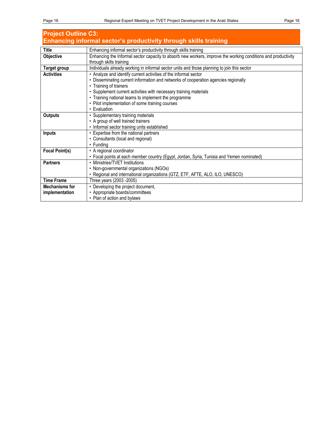| <b>Project Outline C3:</b>                                       |                                                                                                               |  |
|------------------------------------------------------------------|---------------------------------------------------------------------------------------------------------------|--|
| Enhancing informal sector's productivity through skills training |                                                                                                               |  |
| <b>Title</b>                                                     | Enhancing informal sector's productivity through skills training                                              |  |
| Objective                                                        | Enhancing the Informal sector capacity to absorb new workers, improve the working conditions and productivity |  |
|                                                                  | through skills training                                                                                       |  |
| Target group                                                     | Individuals already working in informal sector units and those planning to join this sector                   |  |
| <b>Activities</b>                                                | • Analyze and identify current activities of the informal sector                                              |  |
|                                                                  | • Disseminating current information and networks of cooperation agencies regionally                           |  |
|                                                                  | • Training of trainers                                                                                        |  |
|                                                                  | • Supplement current activities with necessary training materials                                             |  |
|                                                                  | • Training national teams to implement the programme                                                          |  |
|                                                                  | • Pilot implementation of some training courses                                                               |  |
|                                                                  | • Evaluation                                                                                                  |  |
| <b>Outputs</b>                                                   | • Supplementary training materials                                                                            |  |
|                                                                  | • A group of well trained trainers                                                                            |  |
|                                                                  | • Informal sector training units established                                                                  |  |
| <b>Inputs</b>                                                    | • Expertise from the national partners                                                                        |  |
|                                                                  | • Consultants (local and regional)                                                                            |  |
|                                                                  | • Funding                                                                                                     |  |
| <b>Focal Point(s)</b>                                            | • A regional coordinator                                                                                      |  |
|                                                                  | • Focal points at each member country (Egypt, Jordan, Syria, Tunisia and Yemen nominated)                     |  |
| <b>Partners</b>                                                  | • Ministries/TVET Institutions                                                                                |  |
|                                                                  | • Non-governmental organizations (NGOs)                                                                       |  |
|                                                                  | • Regional and international organizations (GTZ, ETF, AFTE, ALO, ILO, UNESCO)                                 |  |
| <b>Time Frame</b>                                                | Three years (2003 - 2005)                                                                                     |  |
| <b>Mechanisms for</b>                                            | • Developing the project document,                                                                            |  |
| implementation                                                   | • Appropriate boards/committees                                                                               |  |
|                                                                  | • Plan of action and bylaws                                                                                   |  |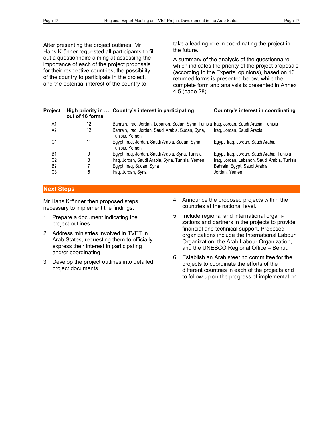After presenting the project outlines, Mr Hans Krönner requested all participants to fill out a questionnaire aiming at assessing the importance of each of the project proposals for their respective countries, the possibility of the country to participate in the project, and the potential interest of the country to

take a leading role in coordinating the project in the future.

A summary of the analysis of the questionnaire which indicates the priority of the project proposals (according to the Experts' opinions), based on 16 returned forms is presented below, while the complete form and analysis is presented in Annex 4.5 (page 28).

| <b>Project</b> | out of 16 forms | High priority in  Country's interest in participating                                     | Country's interest in coordinating           |
|----------------|-----------------|-------------------------------------------------------------------------------------------|----------------------------------------------|
| A1             | 12              | Bahrain, Iraq, Jordan, Lebanon, Sudan, Syria, Tunisia Iraq, Jordan, Saudi Arabia, Tunisia |                                              |
| A <sup>2</sup> | 12              | Bahrain, Iraq, Jordan, Saudi Arabia, Sudan, Syria,<br>Tunisia, Yemen                      | Iraq, Jordan, Saudi Arabia                   |
| C1             |                 | Egypt, Iraq, Jordan, Saudi Arabia, Sudan, Syria,<br>Tunisia, Yemen                        | Egypt, Iraq, Jordan, Saudi Arabia            |
| B <sub>1</sub> |                 | Egypt, Iraq, Jordan, Saudi Arabia, Syria, Tunisia                                         | Egypt, Iraq, Jordan, Saudi Arabia, Tunisia   |
| C <sub>2</sub> |                 | Iraq, Jordan, Saudi Arabia, Syria, Tunisia, Yemen                                         | Iraq, Jordan, Lebanon, Saudi Arabia, Tunisia |
| B <sub>2</sub> |                 | Egypt, Iraq, Sudan, Syria                                                                 | Bahrain, Egypt, Saudi Arabia                 |
| C <sub>3</sub> |                 | Iraq, Jordan, Syria                                                                       | Jordan, Yemen                                |

#### **Next Steps**

Mr Hans Krönner then proposed steps necessary to implement the findings:

- 1. Prepare a document indicating the project outlines
- 2. Address ministries involved in TVET in Arab States, requesting them to officially express their interest in participating and/or coordinating.
- 3. Develop the project outlines into detailed project documents.
- 4. Announce the proposed projects within the countries at the national level.
- 5. Include regional and international organizations and partners in the projects to provide financial and technical support. Proposed organizations include the International Labour Organization, the Arab Labour Organization, and the UNESCO Regional Office – Beirut.
- 6. Establish an Arab steering committee for the projects to coordinate the efforts of the different countries in each of the projects and to follow up on the progress of implementation.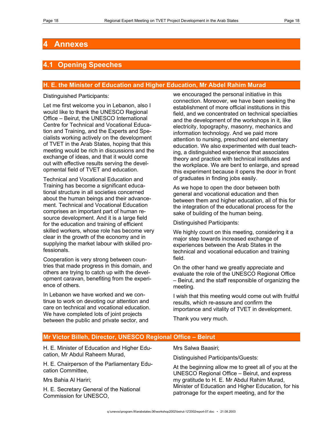# **4 Annexes**

## **4.1 Opening Speeches**

#### **H. E. the Minister of Education and Higher Education, Mr Abdel Rahim Murad**

Distinguished Participants:

Let me first welcome you in Lebanon, also I would like to thank the UNESCO Regional Office – Beirut, the UNESCO International Centre for Technical and Vocational Education and Training, and the Experts and Specialists working actively on the development of TVET in the Arab States, hoping that this meeting would be rich in discussions and the exchange of ideas, and that it would come out with effective results serving the developmental field of TVET and education.

Technical and Vocational Education and Training has become a significant educational structure in all societies concerned about the human beings and their advancement. Technical and Vocational Education comprises an important part of human resource development. And it is a large field for the education and training of efficient skilled workers, whose role has become very clear in the growth of the economy and in supplying the market labour with skilled professionals.

Cooperation is very strong between countries that made progress in this domain, and others are trying to catch up with the development caravan, benefiting from the experience of others.

In Lebanon we have worked and we continue to work on devoting our attention and care on technical and vocational education. We have completed lots of joint projects between the public and private sector, and

we encouraged the personal initiative in this connection. Moreover, we have been seeking the establishment of more official institutions in this field, and we concentrated on technical specialties and the development of the workshops in it, like electricity, topography, masonry, mechanics and information technology. And we paid more attention to nursing, preschool and elementary education. We also experimented with dual teaching, a distinguished experience that associates theory and practice with technical institutes and the workplace. We are bent to enlarge, and spread this experiment because it opens the door in front of graduates in finding jobs easily.

As we hope to open the door between both general and vocational education and then between them and higher education, all of this for the integration of the educational process for the sake of building of the human being.

Distinguished Participants:

We highly count on this meeting, considering it a major step towards increased exchange of experiences between the Arab States in the technical and vocational education and training field.

On the other hand we greatly appreciate and evaluate the role of the UNESCO Regional Office – Beirut, and the staff responsible of organizing the meeting.

I wish that this meeting would come out with fruitful results, which re-assure and confirm the importance and vitality of TVET in development.

Thank you very much.

#### **Mr Victor Billeh, Director, UNESCO Regional Office – Beirut**

H. E. Minister of Education and Higher Education, Mr Abdul Raheem Murad,

H. E. Chairperson of the Parliamentary Education Committee,

Mrs Bahia Al Hariri;

H. E. Secretary General of the National Commission for UNESCO,

Mrs Salwa Baasiri;

Distinguished Participants/Guests:

At the beginning allow me to greet all of you at the UNESCO Regional Office – Beirut, and express my gratitude to H. E. Mr Abdul Rahim Murad, Minister of Education and Higher Education, for his patronage for the expert meeting, and for the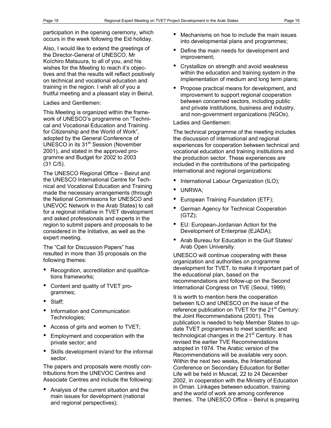Also, I would like to extend the greetings of the Director-General of UNESCO, Mr Koïchiro Matsuura, to all of you, and his wishes for the Meeting to reach it's objectives and that the results will reflect positively on technical and vocational education and training in the region. I wish all of you a fruitful meeting and a pleasant stay in Beirut.

#### Ladies and Gentlemen:

This Meeting is organized within the framework of UNESCO's programme on "Technical and Vocational Education and Training for Citizenship and the World of Work", adopted by the General Conference of UNESCO in its 31<sup>st</sup> Session (November 2001), and stated in the approved programme and Budget for 2002 to 2003 (31 C/5).

The UNESCO Regional Office – Beirut and the UNESCO International Centre for Technical and Vocational Education and Training made the necessary arrangements (through the National Commissions for UNESCO and UNEVOC Network in the Arab States) to call for a regional initiative in TVET development and asked professionals and experts in the region to submit papers and proposals to be considered in the Initiative, as well as the expert meeting.

The "Call for Discussion Papers" has resulted in more than 35 proposals on the following themes:

- Recognition, accreditation and qualifications frameworks;
- Content and quality of TVET programmes;
- Staff;
- Information and Communication Technologies;
- Access of girls and women to TVET;
- Employment and cooperation with the private sector; and
- Skills development in/and for the informal sector.

The papers and proposals were mostly contributions from the UNEVOC Centres and Associate Centres and include the following:

• Analysis of the current situation and the main issues for development (national and regional perspectives);

- Mechanisms on hoe to include the main issues into developmental plans and programmes;
- Define the main needs for development and improvement;
- Crystallize on strength and avoid weakness within the education and training system in the implementation of medium and long term plans;
- Propose practical means for development, and improvement to support regional cooperation between concerned sectors, including public and private institutions, business and industry, and non-government organizations (NGOs).

Ladies and Gentlemen:

The technical programme of the meeting includes the discussion of international and regional experiences for cooperation between technical and vocational education and training institutions and the production sector. These experiences are included in the contributions of the participating international and regional organizations:

- International Labour Organization (ILO);
- UNRWA;
- European Training Foundation (ETF);
- German Agency for Technical Cooperation (GTZ);
- EU: European-Jordanian Action for the Development of Enterprise (EJADA);
- Arab Bureau for Education in the Gulf States/ Arab Open University.

UNESCO will continue cooperating with these organization and authorities on programme development for TVET, to make it important part of the educational plan, based on the recommendations and follow-up on the Second International Congress on TVE (Seoul, 1999).

It is worth to mention here the cooperation between ILO and UNESCO on the issue of the reference publication on TVET for the  $21<sup>st</sup>$  Century: the Joint Recommendations (2001). This publication is needed to help Member States to update TVET programmes to meet scientific and technological changes in the  $21<sup>st</sup>$  Century. It has revised the earlier TVE Recommendations adopted in 1974. The Arabic version of the Recommendations will be available very soon. Within the next two weeks, the International Conference on Secondary Education for Better Life will be held in Muscat, 22 to 24 December 2002, in cooperation with the Ministry of Education in Oman. Linkages between education, training and the world of work are among conference themes. The UNESCO Office – Beirut is preparing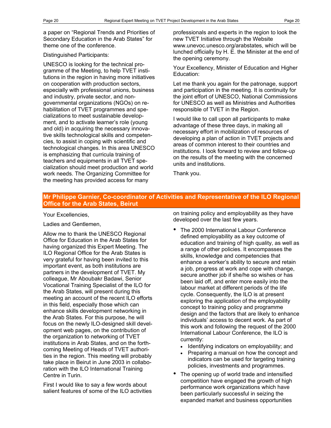a paper on "Regional Trends and Priorities of Secondary Education in the Arab States" for theme one of the conference.

#### Distinguished Participants:

UNESCO is looking for the technical programme of the Meeting, to help TVET institutions in the region in having more initiatives on cooperation with production sectors, especially with professional unions, business and industry, private sector, and nongovernmental organizations (NGOs) on rehabilitation of TVET programmes and specializations to meet sustainable development, and to activate learner's role (young and old) in acquiring the necessary innovative skills technological skills and competencies, to assist in coping with scientific and technological changes. In this area UNESCO is emphasizing that curricula training of teachers and equipments in all TVET specialization should meet production and world work needs. The Organizing Committee for the meeting has provided access for many

professionals and experts in the region to look the new TVET Initiative through the Website www.unevoc.unesco.org/arabstates, which will be lunched officially by H. E. the Minister at the end of the opening ceremony.

Your Excellency, Minister of Education and Higher Education:

Let me thank you again for the patronage, support and participation in the meeting. It is continuity for the joint effort of UNESCO, National Commissions for UNESCO as well as Ministries and Authorities responsible of TVET in the Region.

I would like to call upon all participants to make advantage of these three days, in making all necessary effort in mobilization of resources of developing a plan of action in TVET projects and areas of common interest to their countries and institutions. I look forward to review and follow-up on the results of the meeting with the concerned units and institutions.

Thank you.

#### **Mr Philippe Garnier, Co-coordinator of Activities and Representative of the ILO Regional Office for the Arab States, Beirut**

#### Your Excellencies,

Ladies and Gentlemen,

Allow me to thank the UNESCO Regional Office for Education in the Arab States for having organized this Expert Meeting. The ILO Regional Office for the Arab States is very grateful for having been invited to this important event, as both institutions are partners in the development of TVET. My colleague, Mr Aboubakr Badawi, Senior Vocational Training Specialist of the ILO for the Arab States, will present during this meeting an account of the recent ILO efforts in this field, especially those which can enhance skills development networking in the Arab States. For this purpose, he will focus on the newly ILO-designed skill development web pages, on the contribution of the organization to networking of TVET institutions in Arab States, and on the forthcoming Meeting of Heads of TVET authorities in the region. This meeting will probably take place in Beirut in June 2003 in collaboration with the ILO International Training Centre in Turin.

First I would like to say a few words about salient features of some of the ILO activities on training policy and employability as they have developed over the last few years.

- The 2000 International Labour Conference defined employability as a key outcome of education and training of high quality, as well as a range of other policies. It encompasses the skills, knowledge and competencies that enhance a worker's ability to secure and retain a job, progress at work and cope with change, secure another job if she/he so wishes or has been laid off, and enter more easily into the labour market at different periods of the life cycle. Consequently, the ILO is at present exploring the application of the employability concept to training policy and programme design and the factors that are likely to enhance individuals' access to decent work. As part of this work and following the request of the 2000 International Labour Conference, the ILO is currently:
	- Identifying indicators on employability; and
	- Preparing a manual on how the concept and indicators can be used for targeting training policies, investments and programmes.
- The opening up of world trade and intensified competition have engaged the growth of high performance work organizations which have been particularly successful in seizing the expanded market and business opportunities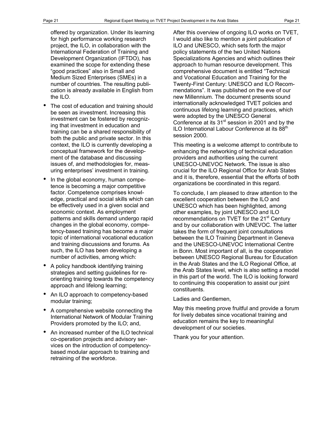offered by organization. Under its learning for high performance working research project, the ILO, in collaboration with the International Federation of Training and Development Organization (IFTDO), has examined the scope for extending these "good practices" also in Small and Medium Sized Enterprises (SMEs) in a number of countries. The resulting publication is already available in English from the ILO.

- The cost of education and training should be seen as investment. Increasing this investment can be fostered by recognizing that investment in education and training can be a shared responsibility of both the public and private sector. In this context, the ILO is currently developing a conceptual framework for the development of the database and discussing issues of, and methodologies for, measuring enterprises' investment in training.
- In the global economy, human competence is becoming a major competitive factor. Competence comprises knowledge, practical and social skills which can be effectively used in a given social and economic context. As employment patterns and skills demand undergo rapid changes in the global economy, competency-based training has become a major topic of international vocational education and training discussions and forums. As such, the ILO has been developing a number of activities, among which:
- A policy handbook identifying training strategies and setting guidelines for reorienting training towards the competency approach and lifelong learning;
- An ILO approach to competency-based modular training;
- A comprehensive website connecting the International Network of Modular Training Providers promoted by the ILO; and,
- An increased number of the ILO technical co-operation projects and advisory services on the introduction of competencybased modular approach to training and retraining of the workforce.

After this overview of ongoing ILO works on TVET, I would also like to mention a joint publication of ILO and UNESCO, which sets forth the major policy statements of the two United Nations Specializations Agencies and which outlines their approach to human resource development. This comprehensive document is entitled "Technical and Vocational Education and Training for the Twenty-First Century: UNESCO and ILO Recommendations". It was published on the eve of our new Millennium. The document presents sound internationally acknowledged TVET policies and continuous lifelong learning and practices, which were adopted by the UNESCO General Conference at its 31<sup>st</sup> session in 2001 and by the ILO International Labour Conference at its 88<sup>th</sup> session 2000.

This meeting is a welcome attempt to contribute to enhancing the networking of technical education providers and authorities using the current UNESCO-UNEVOC Network. The issue is also crucial for the ILO Regional Office for Arab States and it is, therefore, essential that the efforts of both organizations be coordinated in this regard.

To conclude, I am pleased to draw attention to the excellent cooperation between the ILO and UNESCO which has been highlighted, among other examples, by joint UNESCO and ILO recommendations on TVET for the 21<sup>st</sup> Century and by our collaboration with UNEVOC. The latter takes the form of frequent joint consultations between the ILO Training Department in Geneva and the UNESCO-UNEVOC International Centre in Bonn. Most important of all, is the cooperation between UNESCO Regional Bureau for Education in the Arab States and the ILO Regional Office, at the Arab States level, which is also setting a model in this part of the world. The ILO is looking forward to continuing this cooperation to assist our joint constituents.

Ladies and Gentlemen,

May this meeting prove fruitful and provide a forum for lively debates since vocational training and education remains the key to meaningful development of our societies.

Thank you for your attention.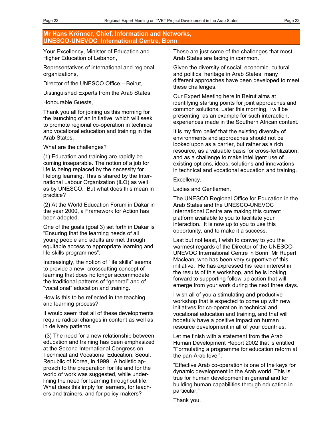#### **Mr Hans Krönner, Chief, Information and Networks, UNESCO-UNEVOC International Centre, Bonn**

Your Excellency, Minister of Education and Higher Education of Lebanon,

Representatives of international and regional organizations,

Director of the UNESCO Office – Beirut,

Distinguished Experts from the Arab States,

Honourable Guests,

Thank you all for joining us this morning for the launching of an initiative, which will seek to promote regional co-operation in technical and vocational education and training in the Arab States.

What are the challenges?

(1) Education and training are rapidly becoming inseparable. The notion of a job for life is being replaced by the necessity for lifelong learning. This is shared by the International Labour Organization (ILO) as well as by UNESCO. But what does this mean in practice?

(2) At the World Education Forum in Dakar in the year 2000, a Framework for Action has been adopted.

One of the goals (goal 3) set forth in Dakar is "Ensuring that the learning needs of all young people and adults are met through equitable access to appropriate learning and life skills programmes".

Increasingly, the notion of "life skills" seems to provide a new, crosscutting concept of learning that does no longer accommodate the traditional patterns of "general" and of "vocational" education and training.

How is this to be reflected in the teaching and learning process?

It would seem that all of these developments require radical changes in content as well as in delivery patterns.

 (3) The need for a new relationship between education and training has been emphasized at the Second International Congress on Technical and Vocational Education, Seoul, Republic of Korea, in 1999. A holistic approach to the preparation for life and for the world of work was suggested, while underlining the need for learning throughout life. What does this imply for learners, for teachers and trainers, and for policy-makers?

These are just some of the challenges that most Arab States are facing in common.

Given the diversity of social, economic, cultural and political heritage in Arab States, many different approaches have been developed to meet these challenges.

Our Expert Meeting here in Beirut aims at identifying starting points for joint approaches and common solutions. Later this morning, I will be presenting, as an example for such interaction, experiences made in the Southern African context.

It is my firm belief that the existing diversity of environments and approaches should not be looked upon as a barrier, but rather as a rich resource, as a valuable basis for cross-fertilization, and as a challenge to make intelligent use of existing options, ideas, solutions and innovations in technical and vocational education and training.

Excellency,

Ladies and Gentlemen,

The UNESCO Regional Office for Education in the Arab States and the UNESCO-UNEVOC International Centre are making this current platform available to you to facilitate your interaction. It is now up to you to use this opportunity, and to make it a success.

Last but not least, I wish to convey to you the warmest regards of the Director of the UNESCO-UNEVOC International Centre in Bonn, Mr Rupert Maclean, who has been very supportive of this initiative. He has expressed his keen interest in the results of this workshop, and he is looking forward to supporting follow-up action that will emerge from your work during the next three days.

I wish all of you a stimulating and productive workshop that is expected to come up with new initiatives for co-operation in technical and vocational education and training, and that will hopefully have a positive impact on human resource development in all of your countries.

Let me finish with a statement from the Arab Human Development Report 2002 that is entitled "Formulating a programme for education reform at the pan-Arab level":

"Effective Arab co-operation is one of the keys for dynamic development in the Arab world. This is true for human development in general and for building human capabilities through education in particular."

Thank you.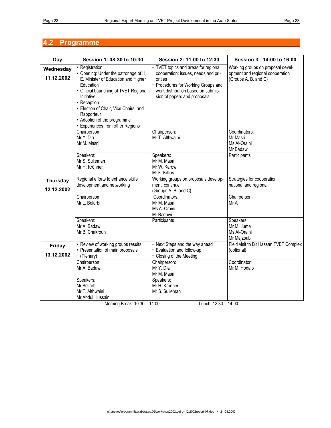# **4.2 Programme**

| Day                           | Session 1: 08:30 to 10:30                                                                                                                                                                                                                                                                                  | Session 2: 11:00 to 12:30                                                                                                                                                                           | Session 3: 14:00 to 16:00                                                                    |
|-------------------------------|------------------------------------------------------------------------------------------------------------------------------------------------------------------------------------------------------------------------------------------------------------------------------------------------------------|-----------------------------------------------------------------------------------------------------------------------------------------------------------------------------------------------------|----------------------------------------------------------------------------------------------|
| Wednesday<br>11.12.2002       | • Registration<br>• Opening: Under the patronage of H.<br>E. Minister of Education and Higher<br>Education<br>• Official Launching of TVET Regional<br>Initiative<br>• Reception<br>• Election of Chair, Vice Chairs, and<br>Rapporteur<br>• Adoption of the programme<br>• Experiences from other Regions | • TVET topics and areas for regional<br>cooperation: issues, needs and pri-<br>orities<br>• Procedures for Working Groups and<br>work distribution based on submis-<br>sion of papers and proposals | Working groups on proposal devel-<br>opment and regional cooperation<br>(Groups A, B, and C) |
|                               | Chairperson:<br>Mr Y. Dia<br>Mr M. Masri                                                                                                                                                                                                                                                                   | Chairperson:<br>Mr T. Althwaini                                                                                                                                                                     | Coordinators:<br>Mr Masri<br>Ms Al-Oraini<br>Mr Badawi                                       |
|                               | Speakers:<br>Mr S. Sulieman<br>Mr H. Krönner                                                                                                                                                                                                                                                               | Speakers:<br>Mr M. Masri<br>Mr W. Karow<br>Mr F. Killius                                                                                                                                            | Participants                                                                                 |
| <b>Thursday</b><br>12.12.2002 | Regional efforts to enhance skills<br>development and networking                                                                                                                                                                                                                                           | Working groups on proposals develop-<br>ment: continue<br>(Groups A, B, and C)                                                                                                                      | Strategies for cooperation:<br>national and regional                                         |
|                               | Chairperson:<br>Mr L. Belarbi                                                                                                                                                                                                                                                                              | Coordinators:<br>Mr M. Masri<br>Ms Al-Oraini<br>Mr Badawi                                                                                                                                           | Chairperson:<br>Mr Ali                                                                       |
|                               | Speakers:<br>Mr A. Badawi<br>Mr B. Chakroun                                                                                                                                                                                                                                                                | Participants                                                                                                                                                                                        | Speakers:<br>Mr M. Juma<br>Ms Al-Oraini<br>Mr Majzoub                                        |
| Friday<br>13.12.2002          | • Review of working groups results<br>• Presentation of main proposals<br>(Plenary)                                                                                                                                                                                                                        | • Next Steps and the way ahead<br>• Evaluation and follow-up<br>• Closing of the Meeting                                                                                                            | Field visit to Bir Hassan TVET Complex<br>(optional)                                         |
|                               | Chairperson:<br>Mr A. Badawi                                                                                                                                                                                                                                                                               | Chairperson:<br>Mr Y. Dia<br>Mr M. Masri                                                                                                                                                            | Coordinator:<br>Mr M. Hodaib                                                                 |
|                               | Speakers:<br>Mr Bellarbi<br>Mr T. Althwaini<br>Mr Abdul Hussain<br>1.40.22<br>$\mathbf{D}$ .                                                                                                                                                                                                               | Speakers:<br>Mr H. Krönner<br>Mr S. Sulieman<br>$\overline{A}$ $\overline{A}$ $\overline{A}$<br>$\overline{1}$ $\overline{4000}$                                                                    | $\overline{1100}$                                                                            |

Morning Break: 10:30 – 11:00 Lunch: 12:30 – 14:00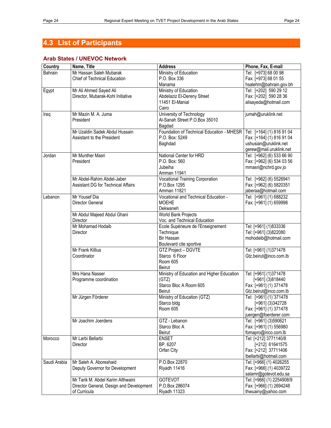# **4.3 List of Participants**

#### **Arab States / UNEVOC Network**

| Country      | Name, Title                              | <b>Address</b>                                      | Phone, Fax, E-mail        |
|--------------|------------------------------------------|-----------------------------------------------------|---------------------------|
| Bahrain      | Mr Hassan Saleh Mubarak                  | Ministry of Education                               | Tel: [+973] 68 00 98      |
|              | Chief of Technical Education             | P.O. Box 336                                        | Fax: [+973] 68 01 55      |
|              |                                          | Manama                                              | hsalehm@bahrain.gov.bh    |
| Egypt        | Mr Ali Ahmed Sayed Ali                   | Ministry of Education                               | Tel: [+202] 590 29 12     |
|              | Director, Mubarak-Kohl Initiative        | Abdelaziz El-Dereny Street                          | Fax: [+202] 590 28 36     |
|              |                                          | 11451 El-Manial                                     | alisayeda@hotmail.com     |
|              |                                          | Cairo                                               |                           |
| Iraq         | Mr Mazin M. A. Juma                      | University of Technology                            | jumah@uruklink.net        |
|              | President                                | Al-Sanah Street P.O.Box 35010                       |                           |
|              |                                          | Bagdad                                              |                           |
|              | Mr Uzaldin Sadek Abdul Hussain           | Foundation of Technical Education - MHESR           | Tel: [+164] (1) 816 91 04 |
|              | Assistant to the President               | P.O. Box: 5249                                      | Fax: [+164] (1) 816 91 04 |
|              |                                          | Baghdad                                             | ushusian@uruklink.net     |
|              |                                          |                                                     | gerew@mail.uruklink.net   |
| Jordan       | Mr Munther Masri                         | National Center for HRD                             | Tel: [+962] (6) 533 66 90 |
|              | President                                | P.O. Box: 560                                       | Fax: [+962] (6) 534 03 56 |
|              |                                          | Jubeiha                                             | mmasri@nchrd.gov.jo       |
|              |                                          | Amman 11941                                         |                           |
|              | Mr Abdel-Rahim Abdel-Jaber               | Vocational Training Corporation                     | Tel: [+962] (6) 5526941   |
|              | Assistant DG for Technical Affairs       | P.O.Box 1295                                        | Fax: [+962] (6) 5820351   |
|              |                                          | <b>Amman 11821</b>                                  | jaberaa@hotmail.com       |
| Lebanon      | Mr Yousef Dia                            | Vocational and Technical Education -                | Tel: [+961] (1) 688232    |
|              | Director General                         | <b>MOEHE</b>                                        | Fax: [+961] (1) 659998    |
|              |                                          | Dekwaneh                                            |                           |
|              |                                          | <b>World Bank Projects</b>                          |                           |
|              | Mr Abdul Majeed Abdul Ghani<br>Director  | Voc. and Technical Education                        |                           |
|              | Mr Mohamad Hodaib                        | Ecole Supérieure de l'Enseignement                  | Tel: [+961] (1)833336     |
|              | Director                                 | Technique                                           | Tel: [+961] (3)822080     |
|              |                                          | <b>Bir Hassan</b>                                   | mohodeib@hotmail.com      |
|              |                                          | Boulevard cite sportive                             |                           |
|              | Mr Frank Killius                         | GTZ Project - DGVTE                                 | Tel: [+961] (1)371478     |
|              | Coordinator                              | Starco 6 Floor                                      |                           |
|              |                                          | Room 605                                            | Gtz.beirut@inco.com.lb    |
|              |                                          | <b>Beirut</b>                                       |                           |
|              | Mrs Hana Nasser                          |                                                     |                           |
|              |                                          | Ministry of Education and Higher Education<br>(GTZ) | Tel: [+961] (1)371478     |
|              | Programme coordination                   | Starco Bloc A Room 605                              | $[+961]$ (3)818440        |
|              |                                          |                                                     | Fax: [+961] (1) 371478    |
|              |                                          | <b>Beirut</b>                                       | Gtz.beirut@inco.com.lb    |
|              | Mr Jürgen Förderer                       | Ministry of Education (GTZ)                         | Tel: [+961] (1)'371478    |
|              |                                          | Starco bldg                                         | $[+961]$ (3) 342728       |
|              |                                          | Room 605                                            | Fax: [+961] (1) 371478    |
|              |                                          |                                                     | juergen@foerderer.com     |
|              | Mr Joachim Joerdens                      | GTZ - Lebanon                                       | Tel: [+961] (3)590621     |
|              |                                          | Starco Bloc A                                       | Fax: [+961] (1) 556980    |
|              |                                          | Beirut                                              | fomapro@inco.com.lb       |
| Morocco      | Mr Larbi Bellarbi                        | <b>ENSET</b>                                        | Tel: [+212] 3771140/8     |
|              | Director                                 | BP. 6207                                            | [+212] 61641575           |
|              |                                          | Orfan City                                          | Fax: [+212] 37711406      |
|              |                                          |                                                     | lbellarbi@hotmail.com     |
| Saudi Arabia | Mr Saleh A. Aboreshaid                   | P.O.Box 22870                                       | Tel: [+966] (1) 4026255   |
|              | Deputy Governor for Development          | Riyadh 11416                                        | Fax: [+966] (1) 4039722   |
|              | Mr Tarik M. Abdel Karim Althwaini        | <b>GOTEVOT</b>                                      | salamr@gotevot.edu.sa     |
|              |                                          | P.O.Box 286074                                      | Tel: [+966] (1) 2254908/9 |
|              | Director General, Design and Development |                                                     | Fax: [+966] (1) 2694248   |
|              | of Curricula                             | Riyadh 11323                                        | thwuainy@yahoo.com        |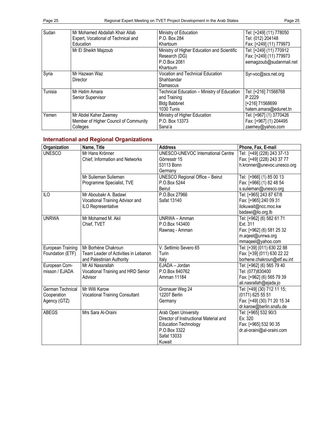| Sudan   | Mr Mohamed Abdallah Khair Allab       | Ministry of Education                       | Tel: [+249] (11) 778050 |
|---------|---------------------------------------|---------------------------------------------|-------------------------|
|         | Expert, Vocational of Technical and   | P.O. Box 284                                | Tel: (012) 204148       |
|         | Education                             | Khartoum                                    | Fax: [+249] (11) 779973 |
|         | Mr El Sheikh Majzoub                  | Ministry of Higher Education and Scientific | Tel: [+249] (11) 770912 |
|         |                                       | Research (DG)                               | Fax: [+249] (11) 779973 |
|         |                                       | P.O.Box 2081                                | eemagzoub@sudanmail.net |
|         |                                       | Khartoum                                    |                         |
| Syria   | Mr Hazwan Waz                         | Vocation and Technical Education            | Syr-voc@scs.net.org     |
|         | Director                              | Shahbandar                                  |                         |
|         |                                       | Damascus                                    |                         |
| Tunisia | Mr Hatim Amara                        | Technical Education - Ministry of Education | Tel: [+216] 71568768    |
|         | Senior Supervisor                     | and Training                                | P 2229                  |
|         |                                       | <b>Bldg Babbnet</b>                         | [+216] 71568699         |
|         |                                       | 1030 Tunis                                  | hatem.amara@edunet.tn   |
| Yemen   | Mr Abdel Kaher Zaemey                 | Ministry of Higher Education                | Tel: [+967] (1) 3770426 |
|         | Member of Higher Council of Community | P.O. Box 13373                              | Fax: [+967] (1) 204495  |
|         | Colleges                              | Sana'a                                      | zaemey@yahoo.com        |

## **International and Regional Organizations**

| Organization             | Name, Title                           | <b>Address</b>                            | Phone, Fax, E-mail          |
|--------------------------|---------------------------------------|-------------------------------------------|-----------------------------|
| <b>UNESCO</b>            | Mr Hans Krönner                       | <b>UNESCO-UNEVOC International Centre</b> | Tel: [+49] (228) 243 37-13  |
|                          | Chief, Information and Networks       | Görresstr 15                              | Fax: [+49] (228) 243 37 77  |
|                          |                                       | 53113 Bonn                                | h.kronner@unevoc.unesco.org |
|                          |                                       | Germany                                   |                             |
|                          | Mr Sulieman Sulieman                  | <b>UNESCO Regional Office - Beirut</b>    | Tel: [+966] (1) 85 00 13    |
|                          | Programme Specialist, TVE             | P.O.Box 5244                              | Fax: [+966] (1) 82 48 54    |
|                          |                                       | <b>Beirut</b>                             | s.sulieman@unesco.org       |
| $\overline{10}$          | Mr Aboubakr A. Badawi                 | P.O.Box 27966                             | Tel: [+965] 243 87 67/8     |
|                          | Vocational Training Advisor and       | Safat 13140                               | Fax: [+965] 240 09 31       |
|                          | ILO Representative                    |                                           | ilokuwait@ncc.moc.kw        |
|                          |                                       |                                           | badawi@ilo.org.lb           |
| <b>UNRWA</b>             | Mr Mohamed M. Akil                    | UNRWA - Amman                             | Tel: [+962] (6) 582 61 71   |
|                          | Chief, TVET                           | P.O.Box 143400                            | Ext. 311                    |
|                          |                                       | Rawnaq - Amman                            | Fax: [+962] (6) 581 25 32   |
|                          |                                       |                                           | m.aqeel@unrwa.org           |
|                          |                                       |                                           | mmaqeel@yahoo.com           |
| <b>European Training</b> | Mr Borhène Chakroun                   | V. Settimio Severo 65                     | Tel: [+39] (011) 630 22 88  |
| Foundation (ETF)         | Team Leader of Activities in Lebanon  | Turin                                     | Fax: [+39] (011) 630 22 22  |
|                          | and Palestinian Authority             | Italy                                     | borhene.chakroun@etf.eu.int |
| European Com-            | Mr Ali Nassrallah                     | EJADA - Jordan                            | Tel: [+962] (6) 565 79 40   |
| misson / EJADA           | Vocational Training and HRD Senior    | P.O.Box 840762                            | Tel: (077)830400            |
|                          | Advisor                               | Amman 11184                               | Fax: [+962] (6) 565 79 39   |
|                          |                                       |                                           | ali.nasrallah@ejada.jo      |
| German Technical         | Mr Willi Karow                        | Gronauer Weg 24                           | Tel: [+49] (30) 712 11 15;  |
| Cooperation              | <b>Vocational Training Consultant</b> | 12207 Berlin                              | (0171) 625 55 51            |
| Agency (GTZ)             |                                       | Germany                                   | Fax: [+49] (30) 71 20 15 34 |
|                          |                                       |                                           | dr.karow@berlin.snafu.de    |
| <b>ABEGS</b>             | Mrs Sara Al-Oraini                    | Arab Open University                      | Tel: [+965] 532 90/3        |
|                          |                                       | Director of Instructional Material and    | Ex: 320                     |
|                          |                                       | <b>Education Technology</b>               | Fax: [+965] 532 90 35       |
|                          |                                       | P.O.Box 3322                              | dr.al-oraini@al-oraini.com  |
|                          |                                       | Safat 13033                               |                             |
|                          |                                       | Kuwait                                    |                             |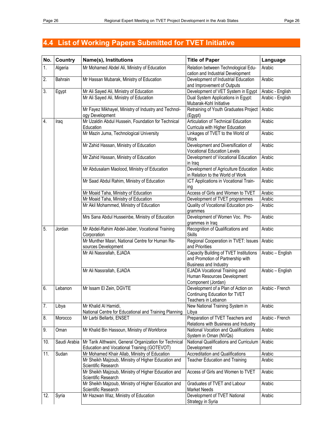# **4.4 List of Working Papers Submitted for TVET Initiative**

| No.              | <b>Country</b> | Name(s), Institutions                                                                                 | <b>Title of Paper</b>                                                                                | Language         |
|------------------|----------------|-------------------------------------------------------------------------------------------------------|------------------------------------------------------------------------------------------------------|------------------|
| $\overline{1}$ . | Algeria        | Mr Mohamed Abdel Ali, Ministry of Education                                                           | Relation between Technological Edu-<br>cation and Industrial Development                             | Arabic           |
| 2.               | Bahrain        | Mr Hassan Mubarak, Ministry of Education                                                              | Development of Industrial Education<br>and Improvement of Outputs                                    | Arabic           |
| 3.               | Egypt          | Mr Ali Sayed Ali, Ministry of Education                                                               | Development of VET System in Egypt                                                                   | Arabic - English |
|                  |                | Mr Ali Sayed Ali, Ministry of Education                                                               | Dual System Applications in Egypt:<br>Mubarak-Kohl Initiative                                        | Arabic - English |
|                  |                | Mr Fayez Mikhayel, Ministry of Industry and Technol-<br>ogy Development                               | Retraining of Youth Graduates Project<br>(Egypt)                                                     | Arabic           |
| 4.               | Iraq           | Mr Uzaldin Abdul Hussein, Foundation for Technical<br>Education                                       | <b>Articulation of Technical Education</b><br>Curricula with Higher Education                        | Arabic           |
|                  |                | Mr Mazin Juma, Technological University                                                               | Linkages of TVET to the World of<br>Work                                                             | Arabic           |
|                  |                | Mr Zahid Hassan, Ministry of Education                                                                | Development and Diversification of<br><b>Vocational Education Levels</b>                             | Arabic           |
|                  |                | Mr Zahid Hassan, Ministry of Education                                                                | Development of Vocational Education<br>in Iraq                                                       | Arabic           |
|                  |                | Mr Abdusalam Maolood, Ministry of Education                                                           | Development of Agriculture Education<br>in Relation to the World of Work                             | Arabic           |
|                  |                | Mr Saad Abdul Rahim, Ministry of Education                                                            | ICT Applications in Vocational Train-<br>ing                                                         | Arabic           |
|                  |                | Mr Moaid Taha, Ministry of Education                                                                  | Access of Girls and Women to TVET                                                                    | Arabic           |
|                  |                | Mr Moaid Taha, Ministry of Education                                                                  | Development of TVET programmes                                                                       | Arabic           |
|                  |                | Mr Akil Mohammed, Ministry of Education                                                               | Quality of Vocational Education pro-<br>grammes                                                      | Arabic           |
|                  |                | Mrs Sana Abdul Husseinbe, Ministry of Education                                                       | Development of Women Voc. Pro-<br>grammes in Iraq                                                    | Arabic           |
| 5.               | Jordan         | Mr Abdel-Rahim Abdel-Jaber, Vocational Training<br>Corporation                                        | Recognition of Qualifications and<br><b>Skills</b>                                                   | Arabic           |
|                  |                | Mr Munther Masri, National Centre for Human Re-<br>sources Development                                | Regional Cooperation in TVET: Issues<br>and Priorities                                               | Arabic           |
|                  |                | Mr Ali Nassrallah, EJADA                                                                              | Capacity Building of TVET Institutions<br>and Promotion of Partnership with<br>Business and Industry | Arabic - English |
|                  |                | Mr Ali Nassrallah, EJADA                                                                              | <b>EJADA Vocational Training and</b><br>Human Resources Development<br>Component (Jordan)            | Arabic - English |
| 6.               | Lebanon        | Mr Issam El Zein, DGVTE                                                                               | Development of a Plan of Action on<br>Continuing Education for TVET<br>Teachers in Lebanon           | Arabic - French  |
| 7.               | Libya          | Mr Khalid Al Hamidi,<br>National Centre for Educational and Training Planning                         | New National Training System in<br>Libya                                                             | Arabic           |
| 8.               | Morocco        | Mr Larbi Bellarbi, ENSET                                                                              | Preparation of TVET Teachers and<br>Relations with Business and Industry                             | Arabic - French  |
| 9.               | Oman           | Mr Khalid Bin Hassoun, Ministry of Workforce                                                          | National Vocation and Qualifications<br>System in Oman (NVQs)                                        | Arabic           |
| 10.              | Saudi Arabia   | Mr Tarik Althwaini, General Organization for Technical<br>Education and Vocational Training (GOTEVOT) | National Qualifications and Curriculum<br>Development                                                | Arabic           |
| 11.              | Sudan          | Mr Mohamed Khair Allab, Ministry of Education                                                         | <b>Accreditation and Qualifications</b>                                                              | Arabic           |
|                  |                | Mr Sheikh Majzoub, Ministry of Higher Education and<br>Scientific Research                            | <b>Teacher Education and Training</b>                                                                | Arabic           |
|                  |                | Mr Sheikh Majzoub, Ministry of Higher Education and<br>Scientific Research                            | Access of Girls and Women to TVET                                                                    | Arabic           |
|                  |                | Mr Sheikh Majzoub, Ministry of Higher Education and<br>Scientific Research                            | Graduates of TVET and Labour<br><b>Market Needs</b>                                                  | Arabic           |
| 12.              | Syria          | Mr Hazwan Waz, Ministry of Education                                                                  | Development of TVET National<br>Strategy in Syria                                                    | Arabic           |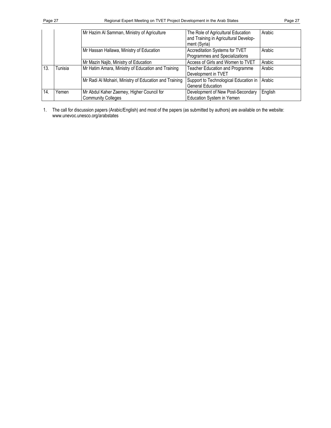|     |         | Mr Hazim Al Samman, Ministry of Agriculture                            | The Role of Agricultural Education<br>and Training in Agricultural Develop-<br>ment (Syria) | Arabic  |
|-----|---------|------------------------------------------------------------------------|---------------------------------------------------------------------------------------------|---------|
|     |         | Mr Hassan Hallawa, Ministry of Education                               | Accreditation Systems for TVET<br>Programmes and Specializations                            | Arabic  |
|     |         | Mr Mazin Najib, Ministry of Education                                  | Access of Girls and Women to TVET                                                           | Arabic  |
| 13. | Tunisia | Mr Hatim Amara, Ministry of Education and Training                     | <b>Teacher Education and Programme</b><br>Development in TVET                               | Arabic  |
|     |         | Mr Radi Al Mohairi, Ministry of Education and Training                 | Support to Technological Education in<br><b>General Education</b>                           | Arabic  |
| 14. | Yemen   | Mr Abdul Kaher Zaemey, Higher Council for<br><b>Community Colleges</b> | Development of New Post-Secondary<br>Education System in Yemen                              | English |

1. The call for discussion papers (Arabic/English) and most of the papers (as submitted by authors) are available on the website: www.unevoc.unesco.org/arabstates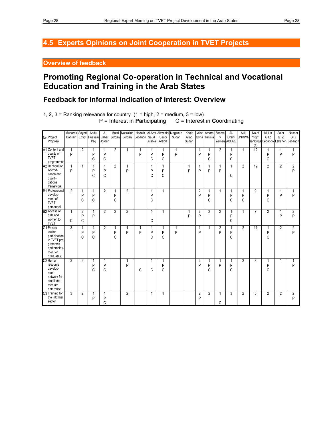# **4.5 Experts Opinions on Joint Cooperation in TVET Projects**

## **Overview of feedback**

# **Promoting Regional Co-operation in Technical and Vocational Education and Training in the Arab States**

# **Feedback for informal indication of interest: Overview**

1, 2, 3 = Ranking relevance for country  $(1 = high, 2 = medium, 3 = low)$ P = Interest in **P**articipating C = Interest in **Coordinating** 

| Nr Project<br>Proposal                                                                                   | Mubarak<br>Bahrain Egypt Hussain | Sayed                    | Abdul<br>Iraq | Α.<br>Jaber<br>Jordan  | Masri<br>Jordan | Nasrallah<br>Jordan | Hodaib<br>Lebanon | Saudi<br>Arabia        | Al-Amr Althwaini Magzoub<br>Saudi<br>Arabia | Sudan  | Khair<br>Allab<br>Sudan | Waz                 | Amara<br>Syria Tunisia | Zaeme<br>y          | $Al-$<br>Oraini<br>Yemen ABEGS | Akil<br><b>UNRWA</b> | No of<br>"high"<br>(1) | Killius<br>GTZ<br>rankings Lebanon | Saier<br>GTZ   | Nasser<br>GTZ<br>Lebanon Lebanon |
|----------------------------------------------------------------------------------------------------------|----------------------------------|--------------------------|---------------|------------------------|-----------------|---------------------|-------------------|------------------------|---------------------------------------------|--------|-------------------------|---------------------|------------------------|---------------------|--------------------------------|----------------------|------------------------|------------------------------------|----------------|----------------------------------|
| A1 Content and<br>quality of<br><b>TVET</b><br>programmes                                                | $\mathbf{1}$<br>P                | 2                        | P<br>C        | 1<br>P<br>C            | $\overline{2}$  | $\mathbf{1}$        | 1<br>P            | 1<br>P<br>$\mathsf{C}$ | 1<br>P<br>C                                 | 1<br>P |                         | 1<br>P              | 1<br>P<br>C            | $\overline{2}$      | P<br>$\mathsf{C}$              | $\mathbf{1}$         | 12                     | 1<br>P<br>C                        | 1<br>P         | 1<br>P                           |
| A2 Recognition,<br>Accred-<br>itation and<br>qualifi-<br>cations<br>framework                            | 1<br>P                           | 1                        | P<br>C        | 1<br>P<br>C            | $\overline{2}$  | 1<br>P              |                   | 1<br>P<br>C            | 1<br>P<br>C                                 |        | 1<br>P                  | P                   | P                      | 1<br>P              | C                              | $\overline{2}$       | 12                     | $\overline{2}$                     | $\overline{2}$ | 2<br>P                           |
| <b>B1</b> Professional<br>develop-<br>ment of<br><b>TVET</b><br>personnel                                | 2                                | 1<br>P<br>C              | 1<br>P<br>C   | $\overline{2}$         | 1<br>P<br>C     | $\overline{2}$      |                   | 1<br>P<br>C            | $\mathbf{1}$                                |        |                         | 2<br>P              | 1<br>P<br>C            | 1                   | 1<br>P<br>C                    | 1<br>P<br>C          | 9                      | 1<br>P<br>C                        | 1<br>P         | 1<br>P                           |
| B2 Access of<br>girls and<br>women to<br><b>TVET</b>                                                     | $\mathbf{1}$<br>C                | $\overline{2}$<br>P<br>C | 1<br>P        | $\overline{2}$         | $\overline{2}$  | $\overline{2}$      |                   | 1<br>C                 | 1                                           |        | 1<br>P                  | $\overline{2}$<br>P | $\overline{2}$         | $\overline{2}$      | 1<br>P<br>C                    | $\mathbf{1}$         | $\overline{7}$         | $\overline{2}$                     | 1<br>P         | $\overline{2}$<br>P              |
| C1 Private<br>sector<br>participation<br>in TVET pro-<br>grammes<br>and employ-<br>ment of<br>graduates  | $\overline{3}$                   | 1<br>P<br>C              | P<br>C        | $\overline{2}$         | 1<br>P<br>C     | 1<br>P              | 1<br>P            | 1<br>P<br>C            | 1<br>P<br>C                                 | P      |                         | 1<br>P              | $\mathbf{1}$           | $\overline{2}$<br>P | P<br>C                         | $\overline{2}$       | 11                     | 1<br>P<br>C                        | $\overline{2}$ | 2<br>P                           |
| C <sub>2</sub> Human<br>resource<br>develop-<br>ment<br>network for<br>small and<br>medium<br>enterprise | $\overline{3}$                   | $\overline{2}$           | P<br>C        | $\mathbf{1}$<br>P<br>C |                 | 1<br>P              | C                 | 1<br>C                 | 1<br>P<br>C                                 |        |                         | $\overline{2}$<br>P | 1<br>P<br>C            | 1<br>P              | 1<br>P<br>C                    | $\overline{2}$       | 8                      | $\mathbf{1}$<br>P<br>C             | $\mathbf{1}$   | P                                |
| C3 Training for<br>the informal<br>sector                                                                | 3                                | $\overline{2}$           | 1<br>P        | 1<br>P<br>C            |                 | $\overline{2}$      |                   | 1                      | $\mathbf{1}$                                |        |                         | 2<br>P              | $\overline{2}$         | 1<br>C              | 3                              | $\overline{2}$       | 5                      | $\overline{2}$                     | $\overline{2}$ | 2<br>P                           |